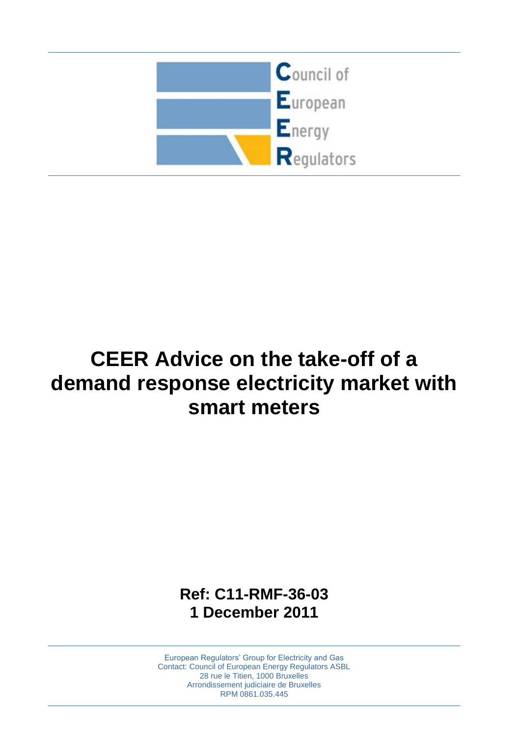

# **CEER Advice on the take-off of a demand response electricity market with smart meters**

**Ref: C11-RMF-36-03 1 December 2011**

European Regulators' Group for Electricity and Gas Contact: Council of European Energy Regulators ASBL 28 rue le Titien, 1000 Bruxelles Arrondissement judiciaire de Bruxelles RPM 0861.035.445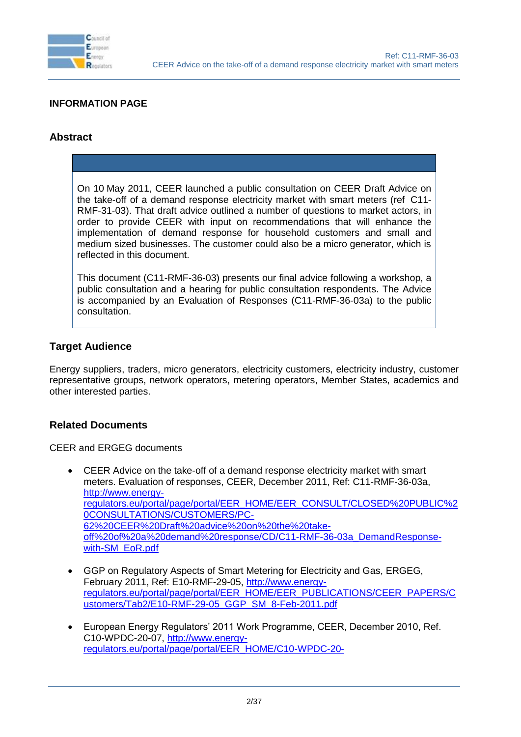

#### **INFORMATION PAGE**

#### **Abstract**

On 10 May 2011, CEER launched a public consultation on CEER Draft Advice on the take-off of a demand response electricity market with smart meters (ref C11- RMF-31-03). That draft advice outlined a number of questions to market actors, in order to provide CEER with input on recommendations that will enhance the implementation of demand response for household customers and small and medium sized businesses. The customer could also be a micro generator, which is reflected in this document.

This document (C11-RMF-36-03) presents our final advice following a workshop, a public consultation and a hearing for public consultation respondents. The Advice is accompanied by an Evaluation of Responses (C11-RMF-36-03a) to the public consultation.

#### **Target Audience**

Energy suppliers, traders, micro generators, electricity customers, electricity industry, customer representative groups, network operators, metering operators, Member States, academics and other interested parties.

#### **Related Documents**

CEER and ERGEG documents

- CEER Advice on the take-off of a demand response electricity market with smart meters. Evaluation of responses, CEER, December 2011, Ref: C11-RMF-36-03a, [http://www.energy](http://www.energy-regulators.eu/portal/page/portal/EER_HOME/EER_CONSULT/CLOSED%20PUBLIC%20CONSULTATIONS/CUSTOMERS/PC-62%20CEER%20Draft%20advice%20on%20the%20take-off%20of%20a%20demand%20response/CD/C11-RMF-36-03a_DemandResponse-with-SM_EoR.pdf)[regulators.eu/portal/page/portal/EER\\_HOME/EER\\_CONSULT/CLOSED%20PUBLIC%2](http://www.energy-regulators.eu/portal/page/portal/EER_HOME/EER_CONSULT/CLOSED%20PUBLIC%20CONSULTATIONS/CUSTOMERS/PC-62%20CEER%20Draft%20advice%20on%20the%20take-off%20of%20a%20demand%20response/CD/C11-RMF-36-03a_DemandResponse-with-SM_EoR.pdf) [0CONSULTATIONS/CUSTOMERS/PC-](http://www.energy-regulators.eu/portal/page/portal/EER_HOME/EER_CONSULT/CLOSED%20PUBLIC%20CONSULTATIONS/CUSTOMERS/PC-62%20CEER%20Draft%20advice%20on%20the%20take-off%20of%20a%20demand%20response/CD/C11-RMF-36-03a_DemandResponse-with-SM_EoR.pdf)[62%20CEER%20Draft%20advice%20on%20the%20take](http://www.energy-regulators.eu/portal/page/portal/EER_HOME/EER_CONSULT/CLOSED%20PUBLIC%20CONSULTATIONS/CUSTOMERS/PC-62%20CEER%20Draft%20advice%20on%20the%20take-off%20of%20a%20demand%20response/CD/C11-RMF-36-03a_DemandResponse-with-SM_EoR.pdf)[off%20of%20a%20demand%20response/CD/C11-RMF-36-03a\\_DemandResponse](http://www.energy-regulators.eu/portal/page/portal/EER_HOME/EER_CONSULT/CLOSED%20PUBLIC%20CONSULTATIONS/CUSTOMERS/PC-62%20CEER%20Draft%20advice%20on%20the%20take-off%20of%20a%20demand%20response/CD/C11-RMF-36-03a_DemandResponse-with-SM_EoR.pdf)[with-SM\\_EoR.pdf](http://www.energy-regulators.eu/portal/page/portal/EER_HOME/EER_CONSULT/CLOSED%20PUBLIC%20CONSULTATIONS/CUSTOMERS/PC-62%20CEER%20Draft%20advice%20on%20the%20take-off%20of%20a%20demand%20response/CD/C11-RMF-36-03a_DemandResponse-with-SM_EoR.pdf)
- GGP on Regulatory Aspects of Smart Metering for Electricity and Gas, ERGEG, February 2011, Ref: [E10-RMF-29-05,](http://www.energy-regulators.eu/portal/page/portal/EER_HOME/EER_PUBLICATIONS/CEER_ERGEG_PAPERS/Guidelines%20of%20Good%20Practice/Other/E10-RMF-29-05_GGP_SM_8-Feb-2011.pdf) [http://www.energy](http://www.energy-regulators.eu/portal/page/portal/EER_HOME/EER_PUBLICATIONS/CEER_PAPERS/Customers/Tab2/E10-RMF-29-05_GGP_SM_8-Feb-2011.pdf)[regulators.eu/portal/page/portal/EER\\_HOME/EER\\_PUBLICATIONS/CEER\\_PAPERS/C](http://www.energy-regulators.eu/portal/page/portal/EER_HOME/EER_PUBLICATIONS/CEER_PAPERS/Customers/Tab2/E10-RMF-29-05_GGP_SM_8-Feb-2011.pdf) [ustomers/Tab2/E10-RMF-29-05\\_GGP\\_SM\\_8-Feb-2011.pdf](http://www.energy-regulators.eu/portal/page/portal/EER_HOME/EER_PUBLICATIONS/CEER_PAPERS/Customers/Tab2/E10-RMF-29-05_GGP_SM_8-Feb-2011.pdf)
- European Energy Regulators' 2011 Work Programme, CEER, December 2010, Ref. C10-WPDC-20-07, [http://www.energy](http://www.energy-regulators.eu/portal/page/portal/EER_HOME/C10-WPDC-20-07_public%20WP2011_15-Dec-2010-Clean.pdf)[regulators.eu/portal/page/portal/EER\\_HOME/C10-WPDC-20-](http://www.energy-regulators.eu/portal/page/portal/EER_HOME/C10-WPDC-20-07_public%20WP2011_15-Dec-2010-Clean.pdf)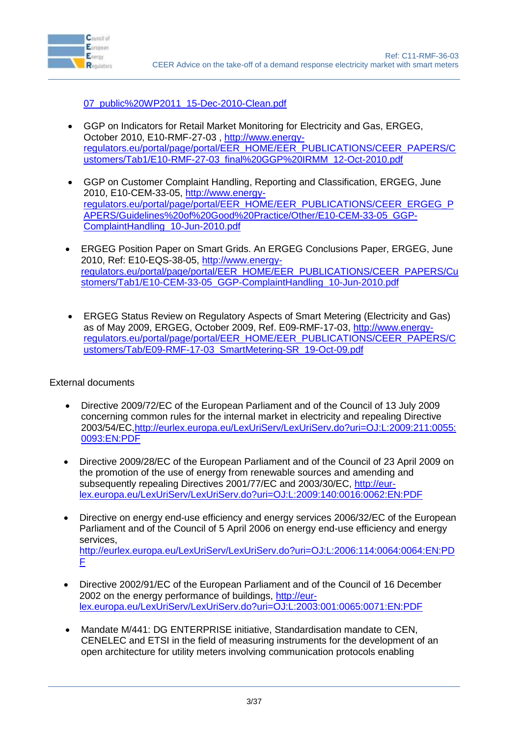

[07\\_public%20WP2011\\_15-Dec-2010-Clean.pdf](http://www.energy-regulators.eu/portal/page/portal/EER_HOME/C10-WPDC-20-07_public%20WP2011_15-Dec-2010-Clean.pdf)

- GGP on Indicators for Retail Market Monitoring for Electricity and Gas, ERGEG, October 2010, [E10-RMF-27-03](http://www.energy-regulators.eu/portal/page/portal/EER_HOME/EER_PUBLICATIONS/CEER_ERGEG_PAPERS/Guidelines%20of%20Good%20Practice/Other/E10-RMF-27-03_final%20GGP%20IRMM_12-Oct-2010.pdf) , [http://www.energy](http://www.energy-regulators.eu/portal/page/portal/EER_HOME/EER_PUBLICATIONS/CEER_PAPERS/Customers/Tab1/E10-RMF-27-03_final%20GGP%20IRMM_12-Oct-2010.pdf)[regulators.eu/portal/page/portal/EER\\_HOME/EER\\_PUBLICATIONS/CEER\\_PAPERS/C](http://www.energy-regulators.eu/portal/page/portal/EER_HOME/EER_PUBLICATIONS/CEER_PAPERS/Customers/Tab1/E10-RMF-27-03_final%20GGP%20IRMM_12-Oct-2010.pdf) [ustomers/Tab1/E10-RMF-27-03\\_final%20GGP%20IRMM\\_12-Oct-2010.pdf](http://www.energy-regulators.eu/portal/page/portal/EER_HOME/EER_PUBLICATIONS/CEER_PAPERS/Customers/Tab1/E10-RMF-27-03_final%20GGP%20IRMM_12-Oct-2010.pdf)
- GGP on Customer Complaint Handling, Reporting and Classification, ERGEG, June 2010, [E10-CEM-33-05, http://www.energy](http://www.energy-regulators.eu/portal/page/portal/EER_HOME/EER_PUBLICATIONS/CEER_ERGEG_PAPERS/Guidelines%20of%20Good%20Practice/Other/E10-CEM-33-05_GGP-ComplaintHandling_10-Jun-2010.pdf)[regulators.eu/portal/page/portal/EER\\_HOME/EER\\_PUBLICATIONS/CEER\\_ERGEG\\_P](http://www.energy-regulators.eu/portal/page/portal/EER_HOME/EER_PUBLICATIONS/CEER_ERGEG_PAPERS/Guidelines%20of%20Good%20Practice/Other/E10-CEM-33-05_GGP-ComplaintHandling_10-Jun-2010.pdf) [APERS/Guidelines%20of%20Good%20Practice/Other/E10-CEM-33-05\\_GGP-](http://www.energy-regulators.eu/portal/page/portal/EER_HOME/EER_PUBLICATIONS/CEER_ERGEG_PAPERS/Guidelines%20of%20Good%20Practice/Other/E10-CEM-33-05_GGP-ComplaintHandling_10-Jun-2010.pdf)[ComplaintHandling\\_10-Jun-2010.pdf](http://www.energy-regulators.eu/portal/page/portal/EER_HOME/EER_PUBLICATIONS/CEER_ERGEG_PAPERS/Guidelines%20of%20Good%20Practice/Other/E10-CEM-33-05_GGP-ComplaintHandling_10-Jun-2010.pdf)
- ERGEG Position Paper on Smart Grids. An ERGEG Conclusions Paper, ERGEG, June 2010, Ref: E10-EQS-38-05, [http://www.energy](http://www.energy-regulators.eu/portal/page/portal/EER_HOME/EER_PUBLICATIONS/CEER_PAPERS/Customers/Tab1/E10-CEM-33-05_GGP-ComplaintHandling_10-Jun-2010.pdf)[regulators.eu/portal/page/portal/EER\\_HOME/EER\\_PUBLICATIONS/CEER\\_PAPERS/Cu](http://www.energy-regulators.eu/portal/page/portal/EER_HOME/EER_PUBLICATIONS/CEER_PAPERS/Customers/Tab1/E10-CEM-33-05_GGP-ComplaintHandling_10-Jun-2010.pdf) [stomers/Tab1/E10-CEM-33-05\\_GGP-ComplaintHandling\\_10-Jun-2010.pdf](http://www.energy-regulators.eu/portal/page/portal/EER_HOME/EER_PUBLICATIONS/CEER_PAPERS/Customers/Tab1/E10-CEM-33-05_GGP-ComplaintHandling_10-Jun-2010.pdf)
- ERGEG Status Review on Regulatory Aspects of Smart Metering (Electricity and Gas) as of May 2009, ERGEG, October 2009, Ref. E09-RMF-17-03, [http://www.energy](http://www.energy-regulators.eu/portal/page/portal/EER_HOME/EER_PUBLICATIONS/CEER_PAPERS/Customers/Tab/E09-RMF-17-03_SmartMetering-SR_19-Oct-09.pdf)[regulators.eu/portal/page/portal/EER\\_HOME/EER\\_PUBLICATIONS/CEER\\_PAPERS/C](http://www.energy-regulators.eu/portal/page/portal/EER_HOME/EER_PUBLICATIONS/CEER_PAPERS/Customers/Tab/E09-RMF-17-03_SmartMetering-SR_19-Oct-09.pdf) [ustomers/Tab/E09-RMF-17-03\\_SmartMetering-SR\\_19-Oct-09.pdf](http://www.energy-regulators.eu/portal/page/portal/EER_HOME/EER_PUBLICATIONS/CEER_PAPERS/Customers/Tab/E09-RMF-17-03_SmartMetering-SR_19-Oct-09.pdf)

External documents

- Directive 2009/72/EC of the European Parliament and of the Council of 13 July 2009 concerning common rules for the internal market in electricity and repealing Directive 2003/54/EC[,http://eurlex.europa.eu/LexUriServ/LexUriServ.do?uri=OJ:L:2009:211:0055:](http://eurlex.europa.eu/LexUriServ/LexUriServ.do?uri=OJ:L:2009:211:0055:0093:EN:PDF) [0093:EN:PDF](http://eurlex.europa.eu/LexUriServ/LexUriServ.do?uri=OJ:L:2009:211:0055:0093:EN:PDF)
- Directive 2009/28/EC of the European Parliament and of the Council of 23 April 2009 on the promotion of the use of energy from renewable sources and amending and subsequently repealing Directives 2001/77/EC and 2003/30/EC, [http://eur](http://eur-lex.europa.eu/LexUriServ/LexUriServ.do?uri=OJ:L:2009:140:0016:0062:EN:PDF)[lex.europa.eu/LexUriServ/LexUriServ.do?uri=OJ:L:2009:140:0016:0062:EN:PDF](http://eur-lex.europa.eu/LexUriServ/LexUriServ.do?uri=OJ:L:2009:140:0016:0062:EN:PDF)
- Directive on energy end-use efficiency and energy services 2006/32/EC of the European Parliament and of the Council of 5 April 2006 on energy end-use efficiency and energy services, [http://eurlex.europa.eu/LexUriServ/LexUriServ.do?uri=OJ:L:2006:114:0064:0064:EN:PD](http://eur-lex.europa.eu/LexUriServ/LexUriServ.do?uri=OJ:L:2006:114:0064:0064:EN:PDF) [F](http://eur-lex.europa.eu/LexUriServ/LexUriServ.do?uri=OJ:L:2006:114:0064:0064:EN:PDF)
- Directive 2002/91/EC of the European Parliament and of the Council of 16 December 2002 on the energy performance of buildings, [http://eur](http://eur-lex.europa.eu/LexUriServ/LexUriServ.do?uri=OJ:L:2003:001:0065:0071:EN:PDF)[lex.europa.eu/LexUriServ/LexUriServ.do?uri=OJ:L:2003:001:0065:0071:EN:PDF](http://eur-lex.europa.eu/LexUriServ/LexUriServ.do?uri=OJ:L:2003:001:0065:0071:EN:PDF)
- Mandate M/441: DG ENTERPRISE initiative, Standardisation mandate to CEN, CENELEC and ETSI in the field of measuring instruments for the development of an open architecture for utility meters involving communication protocols enabling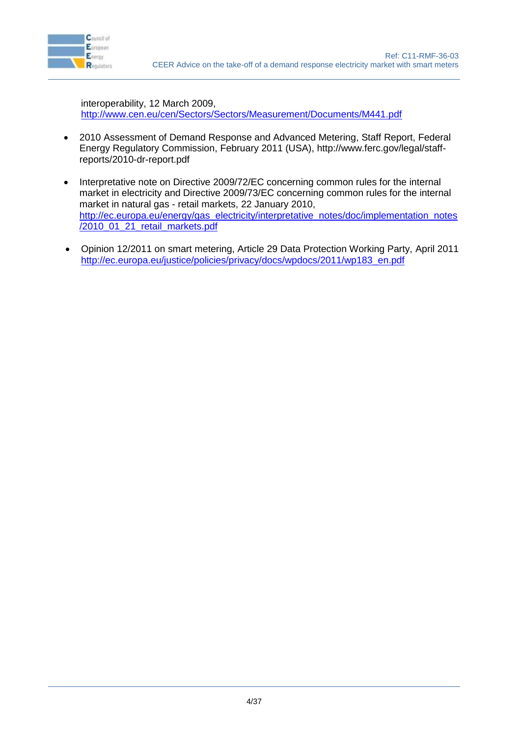

interoperability, 12 March 2009, <http://www.cen.eu/cen/Sectors/Sectors/Measurement/Documents/M441.pdf>

- 2010 Assessment of Demand Response and Advanced Metering, Staff Report, Federal Energy Regulatory Commission, February 2011 (USA), http://www.ferc.gov/legal/staffreports/2010-dr-report.pdf
- Interpretative note on Directive 2009/72/EC concerning common rules for the internal market in electricity and Directive 2009/73/EC concerning common rules for the internal market in natural gas - retail markets, 22 January 2010, [http://ec.europa.eu/energy/gas\\_electricity/interpretative\\_notes/doc/implementation\\_notes](http://ec.europa.eu/energy/gas_electricity/interpretative_notes/doc/implementation_notes/2010_01_21_retail_markets.pdf) [/2010\\_01\\_21\\_retail\\_markets.pdf](http://ec.europa.eu/energy/gas_electricity/interpretative_notes/doc/implementation_notes/2010_01_21_retail_markets.pdf)
- Opinion 12/2011 on smart metering, Article 29 Data Protection Working Party, April 2011 [http://ec.europa.eu/justice/policies/privacy/docs/wpdocs/2011/wp183\\_en.pdf](http://ec.europa.eu/justice/policies/privacy/docs/wpdocs/2011/wp183_en.pdf)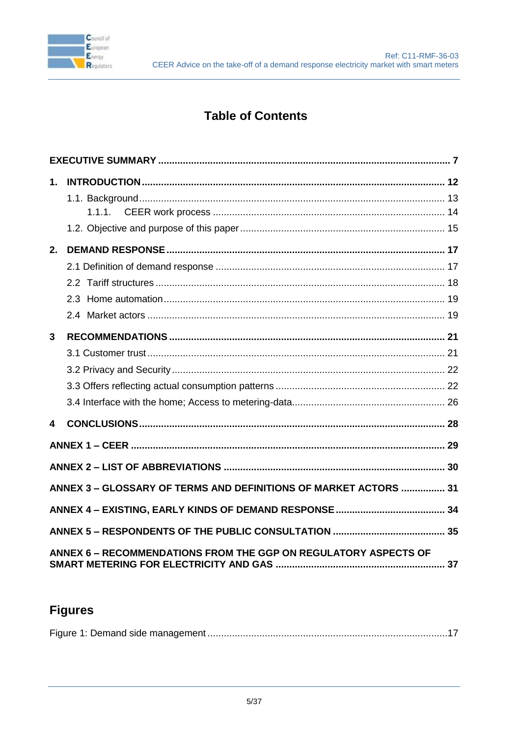

### **Table of Contents**

| 1.             |                                                                        |  |
|----------------|------------------------------------------------------------------------|--|
|                |                                                                        |  |
|                |                                                                        |  |
|                |                                                                        |  |
| 2.             |                                                                        |  |
|                |                                                                        |  |
|                |                                                                        |  |
|                |                                                                        |  |
|                |                                                                        |  |
| $\overline{3}$ |                                                                        |  |
|                |                                                                        |  |
|                |                                                                        |  |
|                |                                                                        |  |
|                |                                                                        |  |
| 4              |                                                                        |  |
|                |                                                                        |  |
|                |                                                                        |  |
|                | ANNEX 3 - GLOSSARY OF TERMS AND DEFINITIONS OF MARKET ACTORS  31       |  |
|                |                                                                        |  |
|                |                                                                        |  |
|                | <b>ANNEX 6 - RECOMMENDATIONS FROM THE GGP ON REGULATORY ASPECTS OF</b> |  |

# **Figures**

|--|--|--|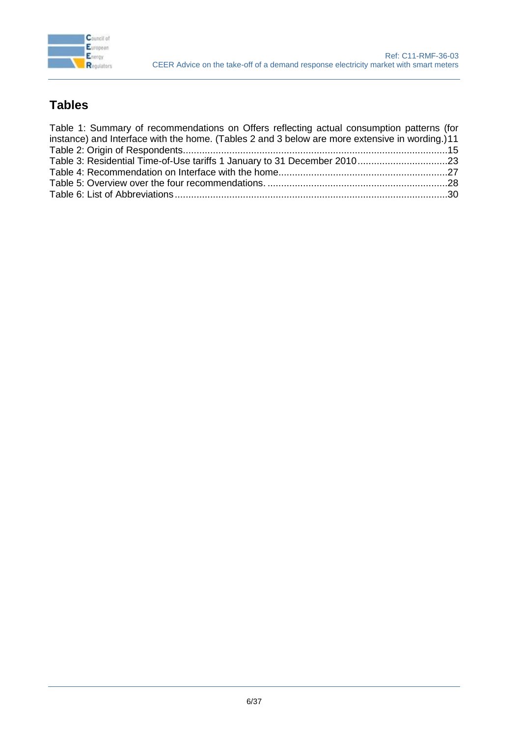

### **Tables**

| Table 1: Summary of recommendations on Offers reflecting actual consumption patterns (for      |  |
|------------------------------------------------------------------------------------------------|--|
| instance) and Interface with the home. (Tables 2 and 3 below are more extensive in wording.)11 |  |
|                                                                                                |  |
|                                                                                                |  |
|                                                                                                |  |
|                                                                                                |  |
|                                                                                                |  |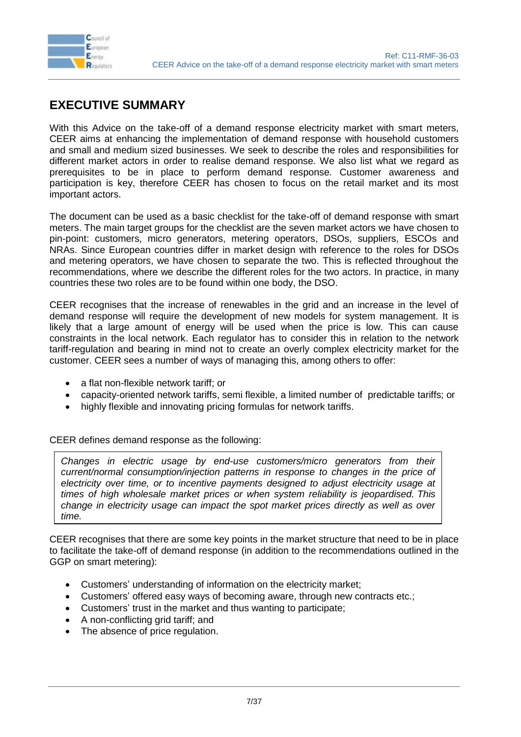

### <span id="page-6-0"></span>**EXECUTIVE SUMMARY**

With this Advice on the take-off of a demand response electricity market with smart meters, CEER aims at enhancing the implementation of demand response with household customers and small and medium sized businesses. We seek to describe the roles and responsibilities for different market actors in order to realise demand response. We also list what we regard as prerequisites to be in place to perform demand response. Customer awareness and participation is key, therefore CEER has chosen to focus on the retail market and its most important actors.

The document can be used as a basic checklist for the take-off of demand response with smart meters. The main target groups for the checklist are the seven market actors we have chosen to pin-point: customers, micro generators, metering operators, DSOs, suppliers, ESCOs and NRAs. Since European countries differ in market design with reference to the roles for DSOs and metering operators, we have chosen to separate the two. This is reflected throughout the recommendations, where we describe the different roles for the two actors. In practice, in many countries these two roles are to be found within one body, the DSO.

CEER recognises that the increase of renewables in the grid and an increase in the level of demand response will require the development of new models for system management. It is likely that a large amount of energy will be used when the price is low. This can cause constraints in the local network. Each regulator has to consider this in relation to the network tariff-regulation and bearing in mind not to create an overly complex electricity market for the customer. CEER sees a number of ways of managing this, among others to offer:

- a flat non-flexible network tariff: or
- capacity-oriented network tariffs, semi flexible, a limited number of predictable tariffs; or
- highly flexible and innovating pricing formulas for network tariffs.

CEER defines demand response as the following:

*Changes in electric usage by end-use customers/micro generators from their current/normal consumption/injection patterns in response to changes in the price of electricity over time, or to incentive payments designed to adjust electricity usage at times of high wholesale market prices or when system reliability is jeopardised. This change in electricity usage can impact the spot market prices directly as well as over time.*

CEER recognises that there are some key points in the market structure that need to be in place to facilitate the take-off of demand response (in addition to the recommendations outlined in the GGP on smart metering):

- Customers' understanding of information on the electricity market;
- Customers' offered easy ways of becoming aware, through new contracts etc.;
- Customers' trust in the market and thus wanting to participate;
- A non-conflicting grid tariff; and
- The absence of price regulation.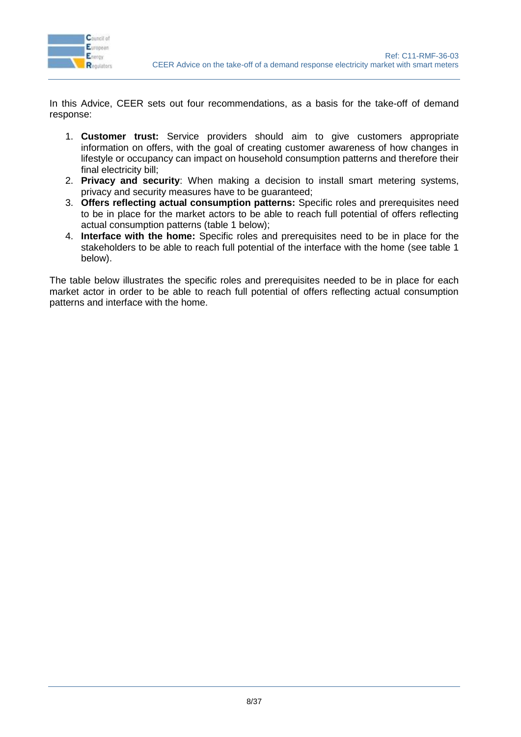

In this Advice, CEER sets out four recommendations, as a basis for the take-off of demand response:

- 1. **Customer trust:** Service providers should aim to give customers appropriate information on offers, with the goal of creating customer awareness of how changes in lifestyle or occupancy can impact on household consumption patterns and therefore their final electricity bill;
- 2. **Privacy and security**: When making a decision to install smart metering systems, privacy and security measures have to be guaranteed;
- 3. **Offers reflecting actual consumption patterns:** Specific roles and prerequisites need to be in place for the market actors to be able to reach full potential of offers reflecting actual consumption patterns (table 1 below);
- 4. **Interface with the home:** Specific roles and prerequisites need to be in place for the stakeholders to be able to reach full potential of the interface with the home (see table 1 below).

The table below illustrates the specific roles and prerequisites needed to be in place for each market actor in order to be able to reach full potential of offers reflecting actual consumption patterns and interface with the home.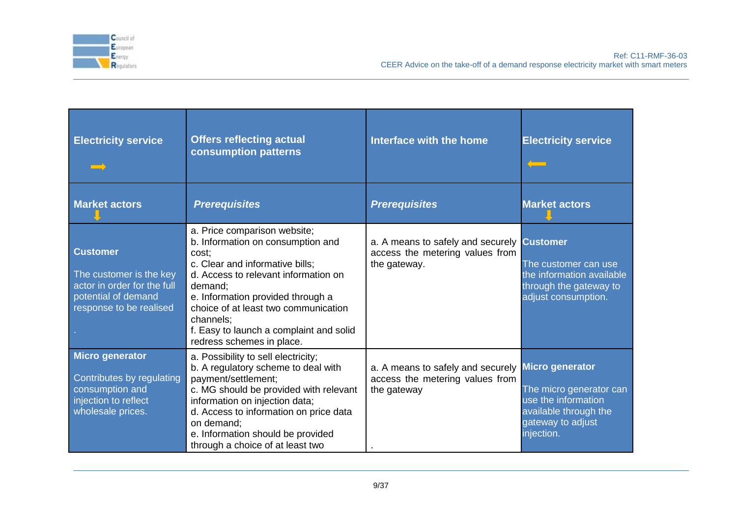

Ref: C11-RMF-36-03 CEER Advice on the take-off of a demand response electricity market with smart meters

| <b>Electricity service</b>                                                                                                  | <b>Offers reflecting actual</b><br>consumption patterns                                                                                                                                                                                                                                                                            | Interface with the home                                                              | <b>Electricity service</b>                                                                                                           |
|-----------------------------------------------------------------------------------------------------------------------------|------------------------------------------------------------------------------------------------------------------------------------------------------------------------------------------------------------------------------------------------------------------------------------------------------------------------------------|--------------------------------------------------------------------------------------|--------------------------------------------------------------------------------------------------------------------------------------|
| <b>Market actors</b>                                                                                                        | <b>Prerequisites</b>                                                                                                                                                                                                                                                                                                               | <b>Prerequisites</b>                                                                 | <b>Market actors</b>                                                                                                                 |
| <b>Customer</b><br>The customer is the key<br>actor in order for the full<br>potential of demand<br>response to be realised | a. Price comparison website;<br>b. Information on consumption and<br>cost:<br>c. Clear and informative bills;<br>d. Access to relevant information on<br>demand;<br>e. Information provided through a<br>choice of at least two communication<br>channels;<br>f. Easy to launch a complaint and solid<br>redress schemes in place. | a. A means to safely and securely<br>access the metering values from<br>the gateway. | <b>Customer</b><br>The customer can use<br>the information available<br>through the gateway to<br>adjust consumption.                |
| <b>Micro generator</b><br>Contributes by regulating<br>consumption and<br>injection to reflect<br>wholesale prices.         | a. Possibility to sell electricity;<br>b. A regulatory scheme to deal with<br>payment/settlement;<br>c. MG should be provided with relevant<br>information on injection data;<br>d. Access to information on price data<br>on demand:<br>e. Information should be provided<br>through a choice of at least two                     | a. A means to safely and securely<br>access the metering values from<br>the gateway  | <b>Micro generator</b><br>The micro generator can<br>use the information<br>available through the<br>gateway to adjust<br>injection. |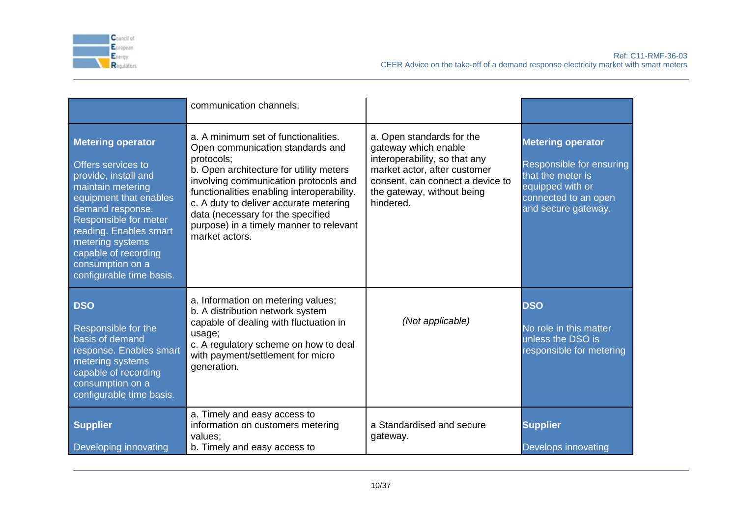

Ref: C11-RMF-36-03 CEER Advice on the take-off of a demand response electricity market with smart meters

|                                                                                                                                                                                                                                                                                          | communication channels.                                                                                                                                                                                                                                                                                                                                              |                                                                                                                                                                                                   |                                                                                                                                              |
|------------------------------------------------------------------------------------------------------------------------------------------------------------------------------------------------------------------------------------------------------------------------------------------|----------------------------------------------------------------------------------------------------------------------------------------------------------------------------------------------------------------------------------------------------------------------------------------------------------------------------------------------------------------------|---------------------------------------------------------------------------------------------------------------------------------------------------------------------------------------------------|----------------------------------------------------------------------------------------------------------------------------------------------|
| <b>Metering operator</b><br>Offers services to<br>provide, install and<br>maintain metering<br>equipment that enables<br>demand response.<br>Responsible for meter<br>reading. Enables smart<br>metering systems<br>capable of recording<br>consumption on a<br>configurable time basis. | a. A minimum set of functionalities.<br>Open communication standards and<br>protocols:<br>b. Open architecture for utility meters<br>involving communication protocols and<br>functionalities enabling interoperability.<br>c. A duty to deliver accurate metering<br>data (necessary for the specified<br>purpose) in a timely manner to relevant<br>market actors. | a. Open standards for the<br>gateway which enable<br>interoperability, so that any<br>market actor, after customer<br>consent, can connect a device to<br>the gateway, without being<br>hindered. | <b>Metering operator</b><br>Responsible for ensuring<br>that the meter is<br>equipped with or<br>connected to an open<br>and secure gateway. |
| <b>DSO</b><br>Responsible for the<br>basis of demand<br>response. Enables smart<br>metering systems<br>capable of recording<br>consumption on a<br>configurable time basis.                                                                                                              | a. Information on metering values;<br>b. A distribution network system<br>capable of dealing with fluctuation in<br>usage;<br>c. A regulatory scheme on how to deal<br>with payment/settlement for micro<br>generation.                                                                                                                                              | (Not applicable)                                                                                                                                                                                  | <b>DSO</b><br>No role in this matter<br>unless the DSO is<br>responsible for metering                                                        |
| <b>Supplier</b><br>Developing innovating                                                                                                                                                                                                                                                 | a. Timely and easy access to<br>information on customers metering<br>values:<br>b. Timely and easy access to                                                                                                                                                                                                                                                         | a Standardised and secure<br>gateway.                                                                                                                                                             | <b>Supplier</b><br>Develops innovating                                                                                                       |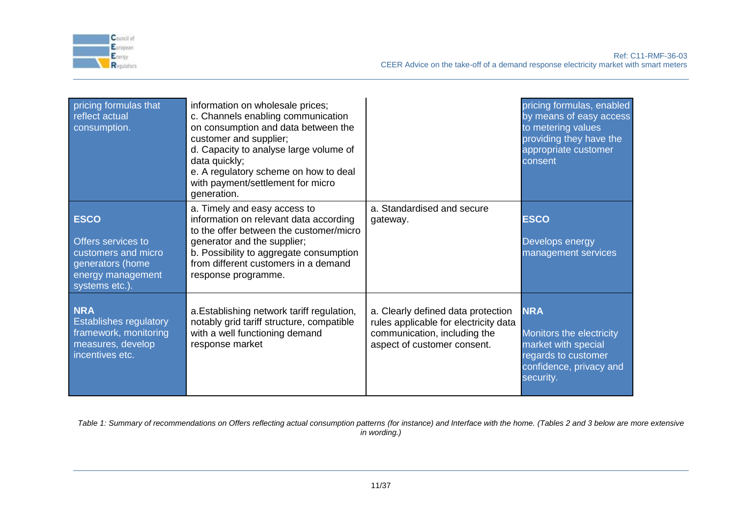

Ref: C11-RMF-36-03 CEER Advice on the take-off of a demand response electricity market with smart meters

| pricing formulas that<br>reflect actual<br>consumption.                                                             | information on wholesale prices;<br>c. Channels enabling communication<br>on consumption and data between the<br>customer and supplier;<br>d. Capacity to analyse large volume of<br>data quickly;<br>e. A regulatory scheme on how to deal<br>with payment/settlement for micro<br>generation. |                                                                                                                                            | pricing formulas, enabled<br>by means of easy access<br>to metering values<br>providing they have the<br>appropriate customer<br>consent |
|---------------------------------------------------------------------------------------------------------------------|-------------------------------------------------------------------------------------------------------------------------------------------------------------------------------------------------------------------------------------------------------------------------------------------------|--------------------------------------------------------------------------------------------------------------------------------------------|------------------------------------------------------------------------------------------------------------------------------------------|
| <b>ESCO</b><br>Offers services to<br>customers and micro<br>generators (home<br>energy management<br>systems etc.). | a. Timely and easy access to<br>information on relevant data according<br>to the offer between the customer/micro<br>generator and the supplier;<br>b. Possibility to aggregate consumption<br>from different customers in a demand<br>response programme.                                      | a. Standardised and secure<br>gateway.                                                                                                     | <b>ESCO</b><br>Develops energy<br>management services                                                                                    |
| <b>NRA</b><br><b>Establishes regulatory</b><br>framework, monitoring<br>measures, develop<br>incentives etc.        | a. Establishing network tariff regulation,<br>notably grid tariff structure, compatible<br>with a well functioning demand<br>response market                                                                                                                                                    | a. Clearly defined data protection<br>rules applicable for electricity data<br>communication, including the<br>aspect of customer consent. | <b>NRA</b><br>Monitors the electricity<br>market with special<br>regards to customer<br>confidence, privacy and<br>security.             |

<span id="page-10-0"></span>*Table 1: Summary of recommendations on Offers reflecting actual consumption patterns (for instance) and Interface with the home. (Tables 2 and 3 below are more extensive in wording.)*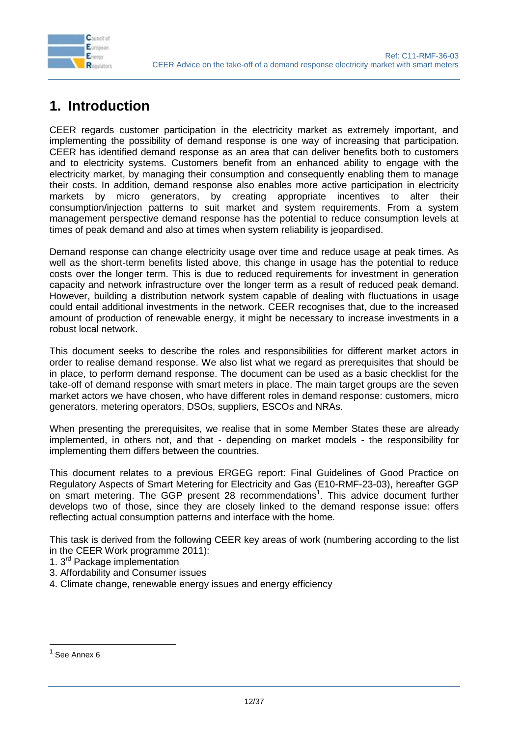

# <span id="page-11-0"></span>**1. Introduction**

CEER regards customer participation in the electricity market as extremely important, and implementing the possibility of demand response is one way of increasing that participation. CEER has identified demand response as an area that can deliver benefits both to customers and to electricity systems. Customers benefit from an enhanced ability to engage with the electricity market, by managing their consumption and consequently enabling them to manage their costs. In addition, demand response also enables more active participation in electricity markets by micro generators, by creating appropriate incentives to alter their consumption/injection patterns to suit market and system requirements. From a system management perspective demand response has the potential to reduce consumption levels at times of peak demand and also at times when system reliability is jeopardised.

Demand response can change electricity usage over time and reduce usage at peak times. As well as the short-term benefits listed above, this change in usage has the potential to reduce costs over the longer term. This is due to reduced requirements for investment in generation capacity and network infrastructure over the longer term as a result of reduced peak demand. However, building a distribution network system capable of dealing with fluctuations in usage could entail additional investments in the network. CEER recognises that, due to the increased amount of production of renewable energy, it might be necessary to increase investments in a robust local network.

This document seeks to describe the roles and responsibilities for different market actors in order to realise demand response. We also list what we regard as prerequisites that should be in place, to perform demand response. The document can be used as a basic checklist for the take-off of demand response with smart meters in place. The main target groups are the seven market actors we have chosen, who have different roles in demand response: customers, micro generators, metering operators, DSOs, suppliers, ESCOs and NRAs.

When presenting the prerequisites, we realise that in some Member States these are already implemented, in others not, and that - depending on market models - the responsibility for implementing them differs between the countries.

This document relates to a previous ERGEG report: Final Guidelines of Good Practice on Regulatory Aspects of Smart Metering for Electricity and Gas (E10-RMF-23-03), hereafter GGP on smart metering. The GGP present 28 recommendations<sup>1</sup>. This advice document further develops two of those, since they are closely linked to the demand response issue: offers reflecting actual consumption patterns and interface with the home.

This task is derived from the following CEER key areas of work (numbering according to the list in the CEER Work programme 2011):

- 1. 3rd Package implementation
- 3. Affordability and Consumer issues
- 4. Climate change, renewable energy issues and energy efficiency

-

 $<sup>1</sup>$  See Annex 6</sup>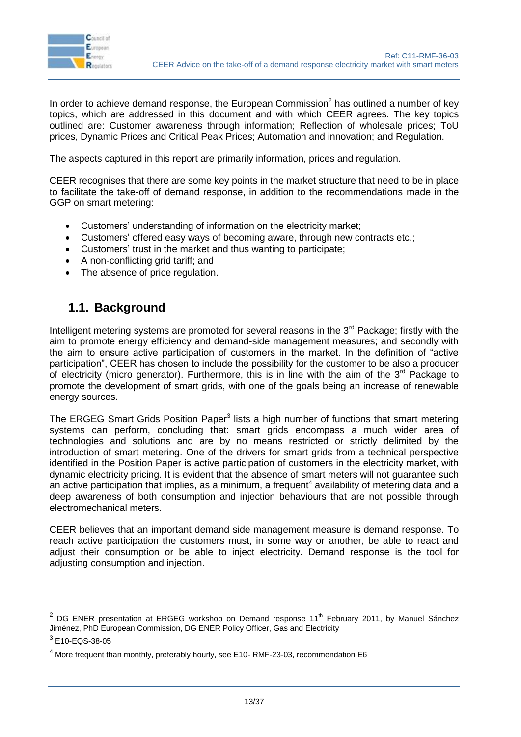

In order to achieve demand response, the European Commission<sup>2</sup> has outlined a number of key topics, which are addressed in this document and with which CEER agrees. The key topics outlined are: Customer awareness through information; Reflection of wholesale prices; ToU prices, Dynamic Prices and Critical Peak Prices; Automation and innovation; and Regulation.

The aspects captured in this report are primarily information, prices and regulation.

CEER recognises that there are some key points in the market structure that need to be in place to facilitate the take-off of demand response, in addition to the recommendations made in the GGP on smart metering:

- Customers' understanding of information on the electricity market;
- Customers' offered easy ways of becoming aware, through new contracts etc.;
- Customers' trust in the market and thus wanting to participate;
- A non-conflicting grid tariff; and
- The absence of price regulation.

### <span id="page-12-0"></span>**1.1. Background**

Intelligent metering systems are promoted for several reasons in the  $3<sup>rd</sup>$  Package; firstly with the aim to promote energy efficiency and demand-side management measures; and secondly with the aim to ensure active participation of customers in the market. In the definition of "active participation", CEER has chosen to include the possibility for the customer to be also a producer of electricity (micro generator). Furthermore, this is in line with the aim of the  $3<sup>rd</sup>$  Package to promote the development of smart grids, with one of the goals being an increase of renewable energy sources.

The ERGEG Smart Grids Position Paper<sup>3</sup> lists a high number of functions that smart metering systems can perform, concluding that: smart grids encompass a much wider area of technologies and solutions and are by no means restricted or strictly delimited by the introduction of smart metering. One of the drivers for smart grids from a technical perspective identified in the Position Paper is active participation of customers in the electricity market, with dynamic electricity pricing. It is evident that the absence of smart meters will not guarantee such an active participation that implies, as a minimum, a frequent<sup>4</sup> availability of metering data and a deep awareness of both consumption and injection behaviours that are not possible through electromechanical meters.

CEER believes that an important demand side management measure is demand response. To reach active participation the customers must, in some way or another, be able to react and adjust their consumption or be able to inject electricity. Demand response is the tool for adjusting consumption and injection.

-

<sup>2</sup> DG ENER presentation at ERGEG workshop on Demand response 11<sup>th</sup> February 2011, by Manuel Sánchez Jiménez, PhD European Commission, DG ENER Policy Officer, Gas and Electricity

 $3$  E10-EQS-38-05

 $4$  More frequent than monthly, preferably hourly, see E10- RMF-23-03, recommendation E6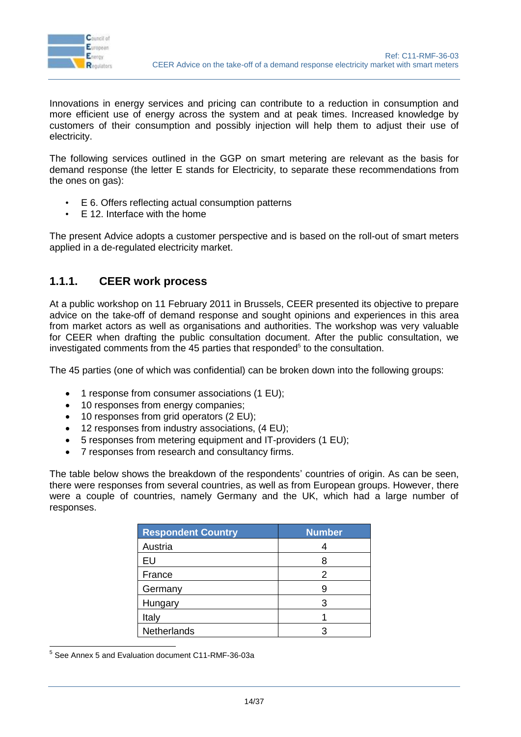

Innovations in energy services and pricing can contribute to a reduction in consumption and more efficient use of energy across the system and at peak times. Increased knowledge by customers of their consumption and possibly injection will help them to adjust their use of electricity.

The following services outlined in the GGP on smart metering are relevant as the basis for demand response (the letter E stands for Electricity, to separate these recommendations from the ones on gas):

- E 6. Offers reflecting actual consumption patterns
- E 12. Interface with the home

The present Advice adopts a customer perspective and is based on the roll-out of smart meters applied in a de-regulated electricity market.

#### <span id="page-13-0"></span>**1.1.1. CEER work process**

At a public workshop on 11 February 2011 in Brussels, CEER presented its objective to prepare advice on the take-off of demand response and sought opinions and experiences in this area from market actors as well as organisations and authorities. The workshop was very valuable for CEER when drafting the public consultation document. After the public consultation, we investigated comments from the 45 parties that responded<sup>5</sup> to the consultation.

The 45 parties (one of which was confidential) can be broken down into the following groups:

- 1 response from consumer associations (1 EU);
- 10 responses from energy companies;
- 10 responses from grid operators (2 EU);
- 12 responses from industry associations, (4 EU);
- 5 responses from metering equipment and IT-providers (1 EU);
- 7 responses from research and consultancy firms.

The table below shows the breakdown of the respondents' countries of origin. As can be seen, there were responses from several countries, as well as from European groups. However, there were a couple of countries, namely Germany and the UK, which had a large number of responses.

| <b>Respondent Country</b> | <b>Number</b> |
|---------------------------|---------------|
| Austria                   |               |
| EU                        |               |
| France                    |               |
| Germany                   |               |
| Hungary                   |               |
| Italy                     |               |
| Netherlands               |               |

5 See Annex 5 and Evaluation document C11-RMF-36-03a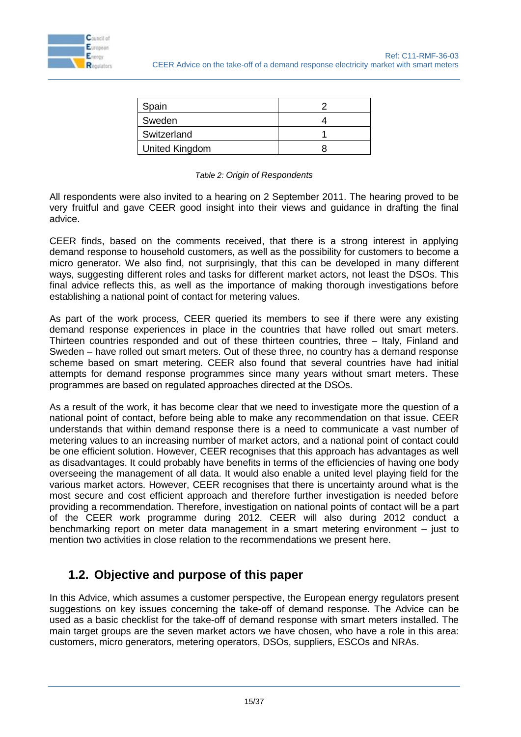

| Spain          |  |
|----------------|--|
| Sweden         |  |
| Switzerland    |  |
| United Kingdom |  |

#### *Table 2: Origin of Respondents*

<span id="page-14-1"></span>All respondents were also invited to a hearing on 2 September 2011. The hearing proved to be very fruitful and gave CEER good insight into their views and guidance in drafting the final advice.

CEER finds, based on the comments received, that there is a strong interest in applying demand response to household customers, as well as the possibility for customers to become a micro generator. We also find, not surprisingly, that this can be developed in many different ways, suggesting different roles and tasks for different market actors, not least the DSOs. This final advice reflects this, as well as the importance of making thorough investigations before establishing a national point of contact for metering values.

As part of the work process, CEER queried its members to see if there were any existing demand response experiences in place in the countries that have rolled out smart meters. Thirteen countries responded and out of these thirteen countries, three – Italy, Finland and Sweden – have rolled out smart meters. Out of these three, no country has a demand response scheme based on smart metering. CEER also found that several countries have had initial attempts for demand response programmes since many years without smart meters. These programmes are based on regulated approaches directed at the DSOs.

As a result of the work, it has become clear that we need to investigate more the question of a national point of contact, before being able to make any recommendation on that issue. CEER understands that within demand response there is a need to communicate a vast number of metering values to an increasing number of market actors, and a national point of contact could be one efficient solution. However, CEER recognises that this approach has advantages as well as disadvantages. It could probably have benefits in terms of the efficiencies of having one body overseeing the management of all data. It would also enable a united level playing field for the various market actors. However, CEER recognises that there is uncertainty around what is the most secure and cost efficient approach and therefore further investigation is needed before providing a recommendation. Therefore, investigation on national points of contact will be a part of the CEER work programme during 2012. CEER will also during 2012 conduct a benchmarking report on meter data management in a smart metering environment – just to mention two activities in close relation to the recommendations we present here.

### <span id="page-14-0"></span>**1.2. Objective and purpose of this paper**

In this Advice, which assumes a customer perspective, the European energy regulators present suggestions on key issues concerning the take-off of demand response. The Advice can be used as a basic checklist for the take-off of demand response with smart meters installed. The main target groups are the seven market actors we have chosen, who have a role in this area: customers, micro generators, metering operators, DSOs, suppliers, ESCOs and NRAs.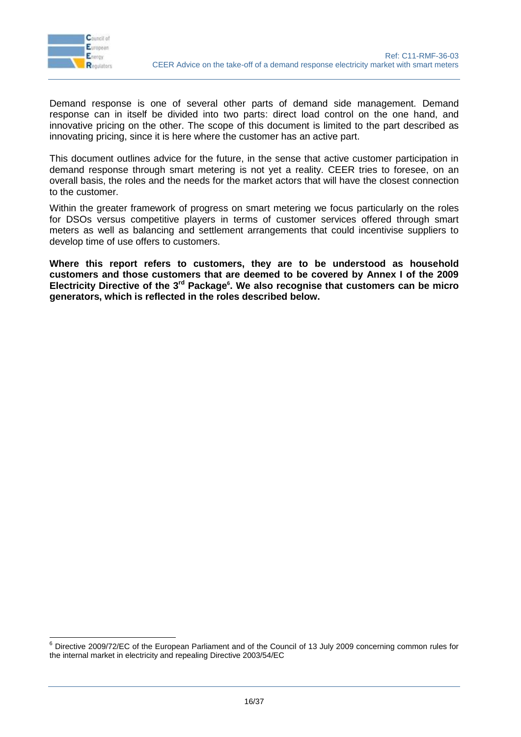

 $\overline{a}$ 

Demand response is one of several other parts of demand side management. Demand response can in itself be divided into two parts: direct load control on the one hand, and innovative pricing on the other. The scope of this document is limited to the part described as innovating pricing, since it is here where the customer has an active part.

This document outlines advice for the future, in the sense that active customer participation in demand response through smart metering is not yet a reality. CEER tries to foresee, on an overall basis, the roles and the needs for the market actors that will have the closest connection to the customer.

Within the greater framework of progress on smart metering we focus particularly on the roles for DSOs versus competitive players in terms of customer services offered through smart meters as well as balancing and settlement arrangements that could incentivise suppliers to develop time of use offers to customers.

**Where this report refers to customers, they are to be understood as household customers and those customers that are deemed to be covered by Annex I of the 2009 Electricity Directive of the 3rd Package<sup>6</sup> . We also recognise that customers can be micro generators, which is reflected in the roles described below.**

 $6$  Directive 2009/72/EC of the European Parliament and of the Council of 13 July 2009 concerning common rules for the internal market in electricity and repealing Directive 2003/54/EC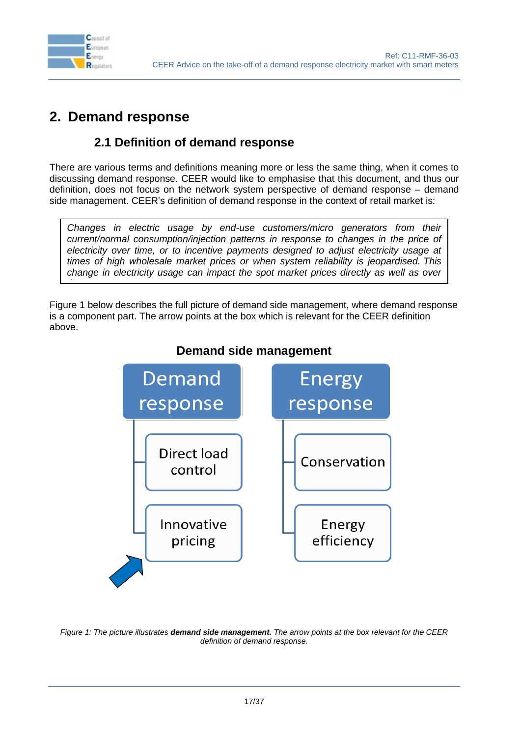

*time.*

### <span id="page-16-0"></span>**2. Demand response**

### **2.1 Definition of demand response**

<span id="page-16-1"></span>There are various terms and definitions meaning more or less the same thing, when it comes to discussing demand response. CEER would like to emphasise that this document, and thus our definition, does not focus on the network system perspective of demand response – demand side management. CEER's definition of demand response in the context of retail market is:

*Changes in electric usage by end-use customers/micro generators from their current/normal consumption/injection patterns in response to changes in the price of electricity over time, or to incentive payments designed to adjust electricity usage at times of high wholesale market prices or when system reliability is jeopardised. This change in electricity usage can impact the spot market prices directly as well as over* 

Figure 1 below describes the full picture of demand side management, where demand response is a component part. The arrow points at the box which is relevant for the CEER definition above.



### **Demand side management**

<span id="page-16-2"></span>*Figure 1: The picture illustrates demand side management. The arrow points at the box relevant for the CEER definition of demand response.*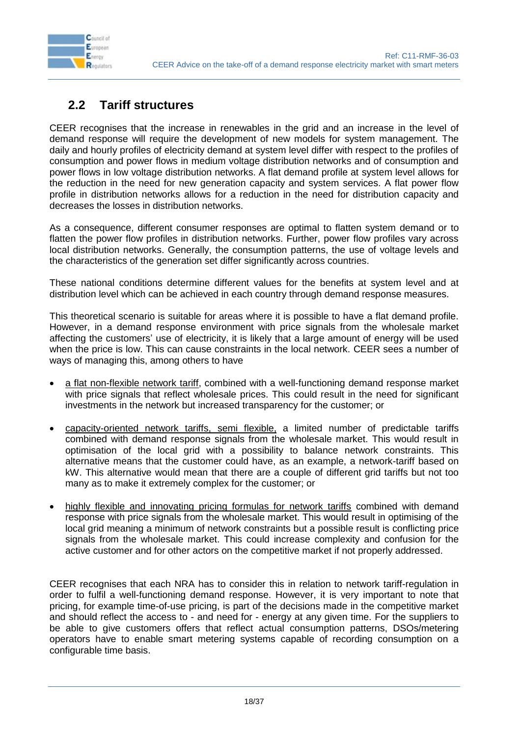

### <span id="page-17-0"></span>**2.2 Tariff structures**

CEER recognises that the increase in renewables in the grid and an increase in the level of demand response will require the development of new models for system management. The daily and hourly profiles of electricity demand at system level differ with respect to the profiles of consumption and power flows in medium voltage distribution networks and of consumption and power flows in low voltage distribution networks. A flat demand profile at system level allows for the reduction in the need for new generation capacity and system services. A flat power flow profile in distribution networks allows for a reduction in the need for distribution capacity and decreases the losses in distribution networks.

As a consequence, different consumer responses are optimal to flatten system demand or to flatten the power flow profiles in distribution networks. Further, power flow profiles vary across local distribution networks. Generally, the consumption patterns, the use of voltage levels and the characteristics of the generation set differ significantly across countries.

These national conditions determine different values for the benefits at system level and at distribution level which can be achieved in each country through demand response measures.

This theoretical scenario is suitable for areas where it is possible to have a flat demand profile. However, in a demand response environment with price signals from the wholesale market affecting the customers' use of electricity, it is likely that a large amount of energy will be used when the price is low. This can cause constraints in the local network. CEER sees a number of ways of managing this, among others to have

- a flat non-flexible network tariff, combined with a well-functioning demand response market with price signals that reflect wholesale prices. This could result in the need for significant investments in the network but increased transparency for the customer; or
- capacity-oriented network tariffs, semi flexible, a limited number of predictable tariffs combined with demand response signals from the wholesale market. This would result in optimisation of the local grid with a possibility to balance network constraints. This alternative means that the customer could have, as an example, a network-tariff based on kW. This alternative would mean that there are a couple of different grid tariffs but not too many as to make it extremely complex for the customer; or
- highly flexible and innovating pricing formulas for network tariffs combined with demand response with price signals from the wholesale market. This would result in optimising of the local grid meaning a minimum of network constraints but a possible result is conflicting price signals from the wholesale market. This could increase complexity and confusion for the active customer and for other actors on the competitive market if not properly addressed.

CEER recognises that each NRA has to consider this in relation to network tariff-regulation in order to fulfil a well-functioning demand response. However, it is very important to note that pricing, for example time-of-use pricing, is part of the decisions made in the competitive market and should reflect the access to - and need for - energy at any given time. For the suppliers to be able to give customers offers that reflect actual consumption patterns, DSOs/metering operators have to enable smart metering systems capable of recording consumption on a configurable time basis.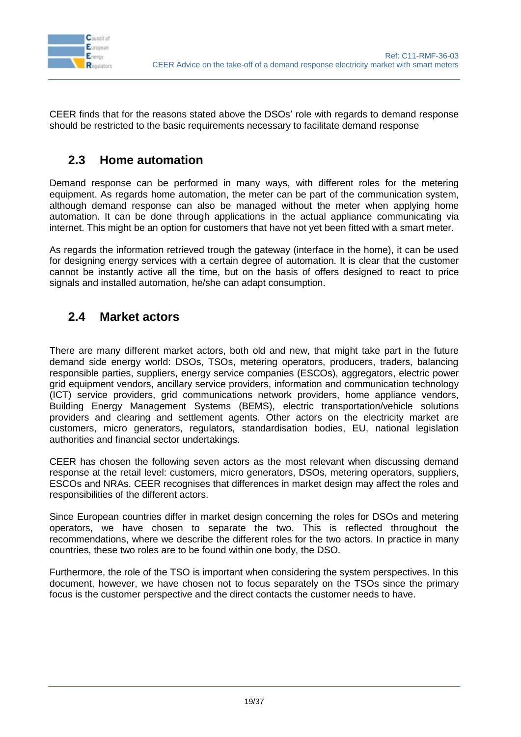

CEER finds that for the reasons stated above the DSOs' role with regards to demand response should be restricted to the basic requirements necessary to facilitate demand response

### <span id="page-18-0"></span>**2.3 Home automation**

Demand response can be performed in many ways, with different roles for the metering equipment. As regards home automation, the meter can be part of the communication system, although demand response can also be managed without the meter when applying home automation. It can be done through applications in the actual appliance communicating via internet. This might be an option for customers that have not yet been fitted with a smart meter.

As regards the information retrieved trough the gateway (interface in the home), it can be used for designing energy services with a certain degree of automation. It is clear that the customer cannot be instantly active all the time, but on the basis of offers designed to react to price signals and installed automation, he/she can adapt consumption.

#### <span id="page-18-1"></span>**2.4 Market actors**

There are many different market actors, both old and new, that might take part in the future demand side energy world: DSOs, TSOs, metering operators, producers, traders, balancing responsible parties, suppliers, energy service companies (ESCOs), aggregators, electric power grid equipment vendors, ancillary service providers, information and communication technology (ICT) service providers, grid communications network providers, home appliance vendors, Building Energy Management Systems (BEMS), electric transportation/vehicle solutions providers and clearing and settlement agents. Other actors on the electricity market are customers, micro generators, regulators, standardisation bodies, EU, national legislation authorities and financial sector undertakings.

CEER has chosen the following seven actors as the most relevant when discussing demand response at the retail level: customers, micro generators, DSOs, metering operators, suppliers, ESCOs and NRAs. CEER recognises that differences in market design may affect the roles and responsibilities of the different actors.

Since European countries differ in market design concerning the roles for DSOs and metering operators, we have chosen to separate the two. This is reflected throughout the recommendations, where we describe the different roles for the two actors. In practice in many countries, these two roles are to be found within one body, the DSO.

Furthermore, the role of the TSO is important when considering the system perspectives. In this document, however, we have chosen not to focus separately on the TSOs since the primary focus is the customer perspective and the direct contacts the customer needs to have.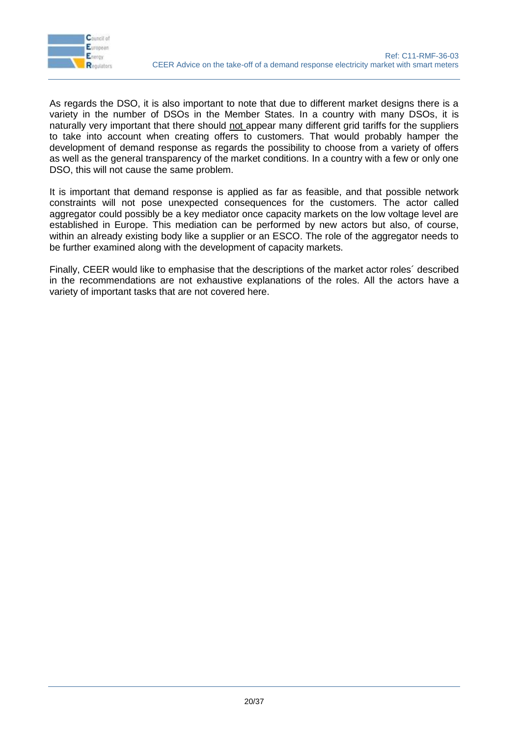

As regards the DSO, it is also important to note that due to different market designs there is a variety in the number of DSOs in the Member States. In a country with many DSOs, it is naturally very important that there should not appear many different grid tariffs for the suppliers to take into account when creating offers to customers. That would probably hamper the development of demand response as regards the possibility to choose from a variety of offers as well as the general transparency of the market conditions. In a country with a few or only one DSO, this will not cause the same problem.

It is important that demand response is applied as far as feasible, and that possible network constraints will not pose unexpected consequences for the customers. The actor called aggregator could possibly be a key mediator once capacity markets on the low voltage level are established in Europe. This mediation can be performed by new actors but also, of course, within an already existing body like a supplier or an ESCO. The role of the aggregator needs to be further examined along with the development of capacity markets.

Finally, CEER would like to emphasise that the descriptions of the market actor roles´ described in the recommendations are not exhaustive explanations of the roles. All the actors have a variety of important tasks that are not covered here.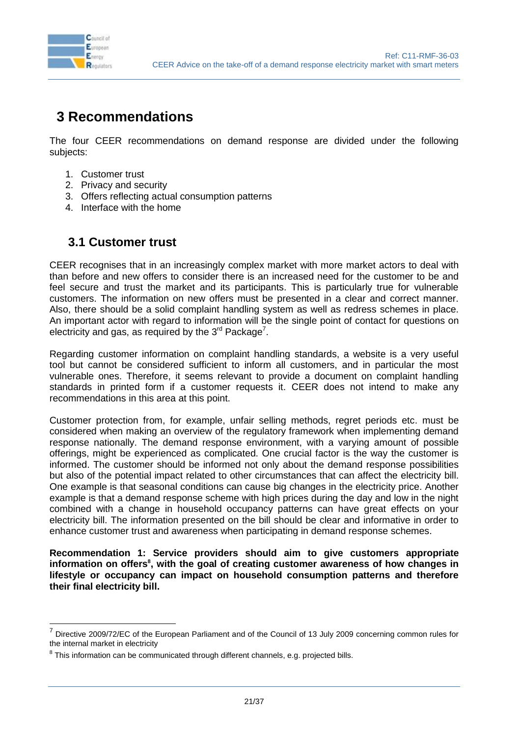

### <span id="page-20-0"></span>**3 Recommendations**

The four CEER recommendations on demand response are divided under the following subjects:

- 1. Customer trust
- 2. Privacy and security
- 3. Offers reflecting actual consumption patterns
- 4. Interface with the home

#### <span id="page-20-1"></span>**3.1 Customer trust**

CEER recognises that in an increasingly complex market with more market actors to deal with than before and new offers to consider there is an increased need for the customer to be and feel secure and trust the market and its participants. This is particularly true for vulnerable customers. The information on new offers must be presented in a clear and correct manner. Also, there should be a solid complaint handling system as well as redress schemes in place. An important actor with regard to information will be the single point of contact for questions on electricity and gas, as required by the  $3^{rd}$  Package<sup>7</sup>.

Regarding customer information on complaint handling standards, a website is a very useful tool but cannot be considered sufficient to inform all customers, and in particular the most vulnerable ones. Therefore, it seems relevant to provide a document on complaint handling standards in printed form if a customer requests it. CEER does not intend to make any recommendations in this area at this point.

Customer protection from, for example, unfair selling methods, regret periods etc. must be considered when making an overview of the regulatory framework when implementing demand response nationally. The demand response environment, with a varying amount of possible offerings, might be experienced as complicated. One crucial factor is the way the customer is informed. The customer should be informed not only about the demand response possibilities but also of the potential impact related to other circumstances that can affect the electricity bill. One example is that seasonal conditions can cause big changes in the electricity price. Another example is that a demand response scheme with high prices during the day and low in the night combined with a change in household occupancy patterns can have great effects on your electricity bill. The information presented on the bill should be clear and informative in order to enhance customer trust and awareness when participating in demand response schemes.

**Recommendation 1: Service providers should aim to give customers appropriate**  information on offers<sup>8</sup>, with the goal of creating customer awareness of how changes in **lifestyle or occupancy can impact on household consumption patterns and therefore their final electricity bill.**

<sup>—————————————————————&</sup>lt;br><sup>7</sup> Directive 2009/72/EC of the European Parliament and of the Council of 13 July 2009 concerning common rules for the internal market in electricity

 $8$  This information can be communicated through different channels, e.g. projected bills.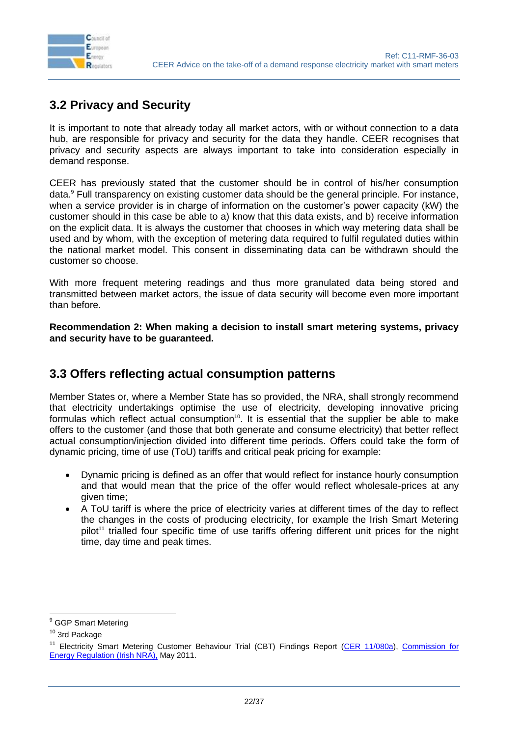

### <span id="page-21-0"></span>**3.2 Privacy and Security**

It is important to note that already today all market actors, with or without connection to a data hub, are responsible for privacy and security for the data they handle. CEER recognises that privacy and security aspects are always important to take into consideration especially in demand response.

CEER has previously stated that the customer should be in control of his/her consumption data.<sup>9</sup> Full transparency on existing customer data should be the general principle. For instance, when a service provider is in charge of information on the customer's power capacity (kW) the customer should in this case be able to a) know that this data exists, and b) receive information on the explicit data. It is always the customer that chooses in which way metering data shall be used and by whom, with the exception of metering data required to fulfil regulated duties within the national market model. This consent in disseminating data can be withdrawn should the customer so choose.

With more frequent metering readings and thus more granulated data being stored and transmitted between market actors, the issue of data security will become even more important than before.

**Recommendation 2: When making a decision to install smart metering systems, privacy and security have to be guaranteed.** 

#### <span id="page-21-1"></span>**3.3 Offers reflecting actual consumption patterns**

Member States or, where a Member State has so provided, the NRA, shall strongly recommend that electricity undertakings optimise the use of electricity, developing innovative pricing formulas which reflect actual consumption<sup>10</sup>. It is essential that the supplier be able to make offers to the customer (and those that both generate and consume electricity) that better reflect actual consumption/injection divided into different time periods. Offers could take the form of dynamic pricing, time of use (ToU) tariffs and critical peak pricing for example:

- Dynamic pricing is defined as an offer that would reflect for instance hourly consumption and that would mean that the price of the offer would reflect wholesale-prices at any given time;
- A ToU tariff is where the price of electricity varies at different times of the day to reflect the changes in the costs of producing electricity, for example the Irish Smart Metering pilot<sup>11</sup> trialled four specific time of use tariffs offering different unit prices for the night time, day time and peak times.

 $\overline{a}$ 

<sup>&</sup>lt;sup>9</sup> GGP Smart Metering

<sup>10</sup> 3rd Package

<sup>&</sup>lt;sup>11</sup> Electricity Smart Metering Customer Behaviour Trial (CBT) Findings Report [\(CER 11/080a\)](http://www.cer.ie/GetAttachment.aspx?id=45b739e9-8eee-4300-b87f-c7f1400ce0d5), Commission for [Energy Regulation](http://www.cer.ie/en/information-centre-reports-and-publications.aspx?article=c03aebf5-8048-456c-ba8b-33a79319a818&amp;amp;amp;amp;amp;amp;amp;amp;amp;amp;amp;amp;amp;amp;amp;amp;amp;amp;amp;amp;amp;amp;amp;amp;amp;amp;amp;amp;amp;amp;amp;mode=author) (Irish NRA), May 2011.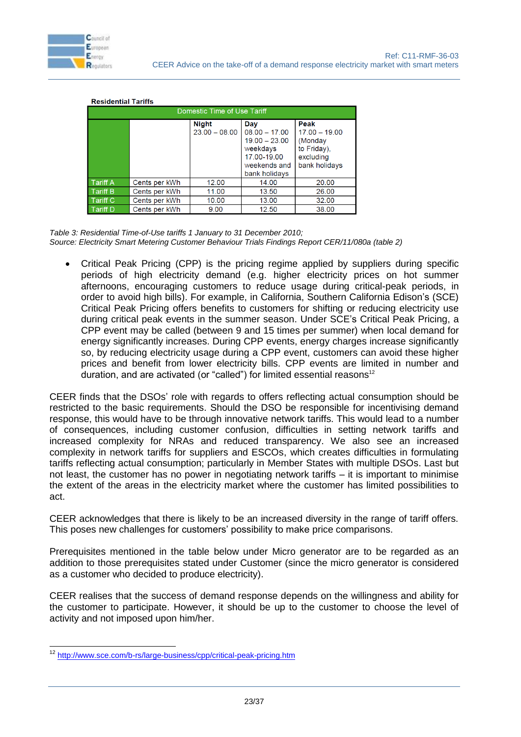

| Domestic Time of Use Tariff |               |                                 |                                                                                                       |                                                                                 |
|-----------------------------|---------------|---------------------------------|-------------------------------------------------------------------------------------------------------|---------------------------------------------------------------------------------|
|                             |               | <b>Night</b><br>$23.00 - 08.00$ | Day<br>$08.00 - 17.00$<br>$19.00 - 23.00$<br>weekdays<br>17.00-19.00<br>weekends and<br>bank holidays | Peak<br>$17.00 - 19.00$<br>(Monday<br>to Friday).<br>excluding<br>bank holidays |
| <b>Tariff A</b>             | Cents per kWh | 12.00                           | 14.00                                                                                                 | 20.00                                                                           |
| <b>Tariff B</b>             | Cents per kWh | 11.00                           | 13.50                                                                                                 | 26.00                                                                           |
| <b>Tariff C</b>             | Cents per kWh | 10.00                           | 13.00                                                                                                 | 32.00                                                                           |
| Tariff D                    | Cents per kWh | 9.00                            | 12.50                                                                                                 | 38.00                                                                           |

#### **Residential Tariffs**

<span id="page-22-0"></span>*Table 3: Residential Time-of-Use tariffs 1 January to 31 December 2010; Source: Electricity Smart Metering Customer Behaviour Trials Findings Report CER/11/080a (table 2)*

 Critical Peak Pricing (CPP) is the pricing regime applied by suppliers during specific periods of high electricity demand (e.g. higher electricity prices on hot summer afternoons, encouraging customers to reduce usage during critical-peak periods, in order to avoid high bills). For example, in California, Southern California Edison's (SCE) Critical Peak Pricing offers benefits to customers for shifting or reducing electricity use during critical peak events in the summer season. Under SCE's Critical Peak Pricing, a CPP event may be called (between 9 and 15 times per summer) when local demand for energy significantly increases. During CPP events, energy charges increase significantly so, by reducing electricity usage during a CPP event, customers can avoid these higher prices and benefit from lower electricity bills. CPP events are limited in number and duration, and are activated (or "called") for limited essential reasons<sup>12</sup>

CEER finds that the DSOs' role with regards to offers reflecting actual consumption should be restricted to the basic requirements. Should the DSO be responsible for incentivising demand response, this would have to be through innovative network tariffs. This would lead to a number of consequences, including customer confusion, difficulties in setting network tariffs and increased complexity for NRAs and reduced transparency. We also see an increased complexity in network tariffs for suppliers and ESCOs, which creates difficulties in formulating tariffs reflecting actual consumption; particularly in Member States with multiple DSOs. Last but not least, the customer has no power in negotiating network tariffs – it is important to minimise the extent of the areas in the electricity market where the customer has limited possibilities to act.

CEER acknowledges that there is likely to be an increased diversity in the range of tariff offers. This poses new challenges for customers' possibility to make price comparisons.

Prerequisites mentioned in the table below under Micro generator are to be regarded as an addition to those prerequisites stated under Customer (since the micro generator is considered as a customer who decided to produce electricity).

CEER realises that the success of demand response depends on the willingness and ability for the customer to participate. However, it should be up to the customer to choose the level of activity and not imposed upon him/her.

<sup>-</sup><sup>12</sup> <http://www.sce.com/b-rs/large-business/cpp/critical-peak-pricing.htm>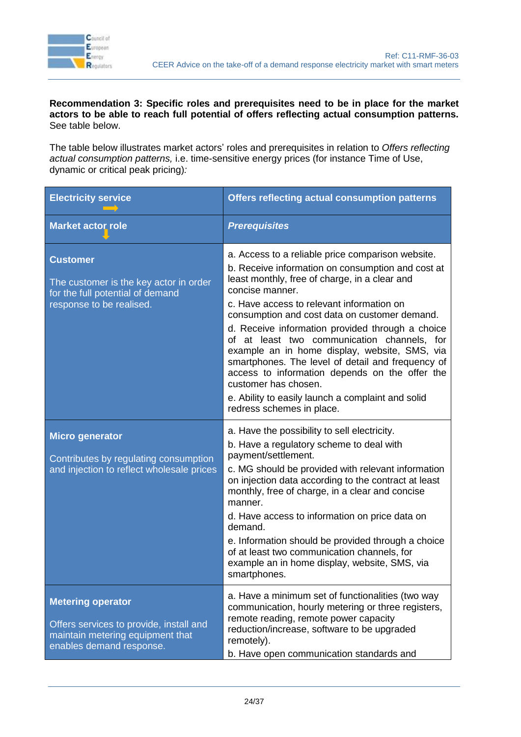

#### **Recommendation 3: Specific roles and prerequisites need to be in place for the market actors to be able to reach full potential of offers reflecting actual consumption patterns.**  See table below.

The table below illustrates market actors' roles and prerequisites in relation to *Offers reflecting actual consumption patterns,* i.e. time-sensitive energy prices (for instance Time of Use, dynamic or critical peak pricing)*:*

| <b>Electricity service</b>                                                                                                          | <b>Offers reflecting actual consumption patterns</b>                                                                                                                                                                                                                                                                                                                                                                                                                                                                                                                                                                                             |
|-------------------------------------------------------------------------------------------------------------------------------------|--------------------------------------------------------------------------------------------------------------------------------------------------------------------------------------------------------------------------------------------------------------------------------------------------------------------------------------------------------------------------------------------------------------------------------------------------------------------------------------------------------------------------------------------------------------------------------------------------------------------------------------------------|
| <b>Market actor role</b>                                                                                                            | <b>Prerequisites</b>                                                                                                                                                                                                                                                                                                                                                                                                                                                                                                                                                                                                                             |
| <b>Customer</b><br>The customer is the key actor in order<br>for the full potential of demand<br>response to be realised.           | a. Access to a reliable price comparison website.<br>b. Receive information on consumption and cost at<br>least monthly, free of charge, in a clear and<br>concise manner.<br>c. Have access to relevant information on<br>consumption and cost data on customer demand.<br>d. Receive information provided through a choice<br>at least two communication channels, for<br>οf<br>example an in home display, website, SMS, via<br>smartphones. The level of detail and frequency of<br>access to information depends on the offer the<br>customer has chosen.<br>e. Ability to easily launch a complaint and solid<br>redress schemes in place. |
| <b>Micro generator</b><br>Contributes by regulating consumption<br>and injection to reflect wholesale prices                        | a. Have the possibility to sell electricity.<br>b. Have a regulatory scheme to deal with<br>payment/settlement.<br>c. MG should be provided with relevant information<br>on injection data according to the contract at least<br>monthly, free of charge, in a clear and concise<br>manner.<br>d. Have access to information on price data on<br>demand.<br>e. Information should be provided through a choice<br>of at least two communication channels, for<br>example an in home display, website, SMS, via<br>smartphones.                                                                                                                   |
| <b>Metering operator</b><br>Offers services to provide, install and<br>maintain metering equipment that<br>enables demand response. | a. Have a minimum set of functionalities (two way<br>communication, hourly metering or three registers,<br>remote reading, remote power capacity<br>reduction/increase, software to be upgraded<br>remotely).<br>b. Have open communication standards and                                                                                                                                                                                                                                                                                                                                                                                        |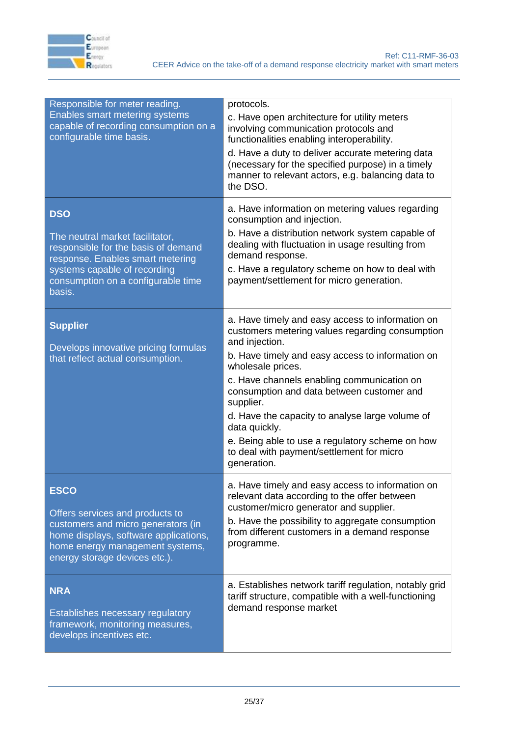

| Responsible for meter reading.<br>Enables smart metering systems<br>capable of recording consumption on a<br>configurable time basis.                                                                    | protocols.<br>c. Have open architecture for utility meters<br>involving communication protocols and<br>functionalities enabling interoperability.<br>d. Have a duty to deliver accurate metering data<br>(necessary for the specified purpose) in a timely<br>manner to relevant actors, e.g. balancing data to<br>the DSO.                                                                                                                                                               |
|----------------------------------------------------------------------------------------------------------------------------------------------------------------------------------------------------------|-------------------------------------------------------------------------------------------------------------------------------------------------------------------------------------------------------------------------------------------------------------------------------------------------------------------------------------------------------------------------------------------------------------------------------------------------------------------------------------------|
| <b>DSO</b><br>The neutral market facilitator,<br>responsible for the basis of demand<br>response. Enables smart metering<br>systems capable of recording<br>consumption on a configurable time<br>basis. | a. Have information on metering values regarding<br>consumption and injection.<br>b. Have a distribution network system capable of<br>dealing with fluctuation in usage resulting from<br>demand response.<br>c. Have a regulatory scheme on how to deal with<br>payment/settlement for micro generation.                                                                                                                                                                                 |
| <b>Supplier</b><br>Develops innovative pricing formulas<br>that reflect actual consumption.                                                                                                              | a. Have timely and easy access to information on<br>customers metering values regarding consumption<br>and injection.<br>b. Have timely and easy access to information on<br>wholesale prices.<br>c. Have channels enabling communication on<br>consumption and data between customer and<br>supplier.<br>d. Have the capacity to analyse large volume of<br>data quickly.<br>e. Being able to use a regulatory scheme on how<br>to deal with payment/settlement for micro<br>generation. |
| <b>ESCO</b><br>Offers services and products to<br>customers and micro generators (in<br>home displays, software applications,<br>home energy management systems,<br>energy storage devices etc.).        | a. Have timely and easy access to information on<br>relevant data according to the offer between<br>customer/micro generator and supplier.<br>b. Have the possibility to aggregate consumption<br>from different customers in a demand response<br>programme.                                                                                                                                                                                                                             |
| <b>NRA</b><br>Establishes necessary regulatory<br>framework, monitoring measures,<br>develops incentives etc.                                                                                            | a. Establishes network tariff regulation, notably grid<br>tariff structure, compatible with a well-functioning<br>demand response market                                                                                                                                                                                                                                                                                                                                                  |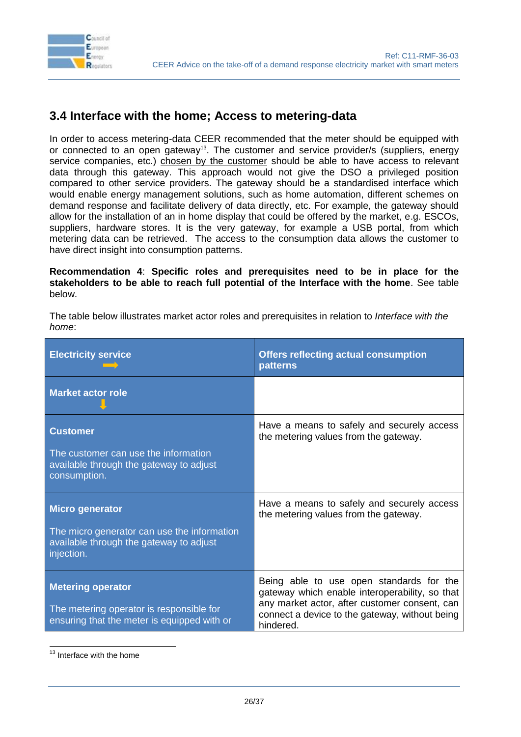

### <span id="page-25-0"></span>**3.4 Interface with the home; Access to metering-data**

In order to access metering-data CEER recommended that the meter should be equipped with or connected to an open gateway<sup>13</sup>. The customer and service provider/s (suppliers, energy service companies, etc.) chosen by the customer should be able to have access to relevant data through this gateway. This approach would not give the DSO a privileged position compared to other service providers. The gateway should be a standardised interface which would enable energy management solutions, such as home automation, different schemes on demand response and facilitate delivery of data directly, etc. For example, the gateway should allow for the installation of an in home display that could be offered by the market, e.g. ESCOs, suppliers, hardware stores. It is the very gateway, for example a USB portal, from which metering data can be retrieved. The access to the consumption data allows the customer to have direct insight into consumption patterns.

**Recommendation 4**: **Specific roles and prerequisites need to be in place for the stakeholders to be able to reach full potential of the Interface with the home**. See table below.

The table below illustrates market actor roles and prerequisites in relation to *Interface with the home*:

| <b>Electricity service</b>                                                                                                     | <b>Offers reflecting actual consumption</b><br><b>patterns</b>                                                                                                                                             |
|--------------------------------------------------------------------------------------------------------------------------------|------------------------------------------------------------------------------------------------------------------------------------------------------------------------------------------------------------|
| <b>Market actor role</b>                                                                                                       |                                                                                                                                                                                                            |
| <b>Customer</b><br>The customer can use the information<br>available through the gateway to adjust<br>consumption.             | Have a means to safely and securely access<br>the metering values from the gateway.                                                                                                                        |
| <b>Micro generator</b><br>The micro generator can use the information<br>available through the gateway to adjust<br>injection. | Have a means to safely and securely access<br>the metering values from the gateway.                                                                                                                        |
| <b>Metering operator</b><br>The metering operator is responsible for<br>ensuring that the meter is equipped with or            | Being able to use open standards for the<br>gateway which enable interoperability, so that<br>any market actor, after customer consent, can<br>connect a device to the gateway, without being<br>hindered. |

-<sup>13</sup> Interface with the home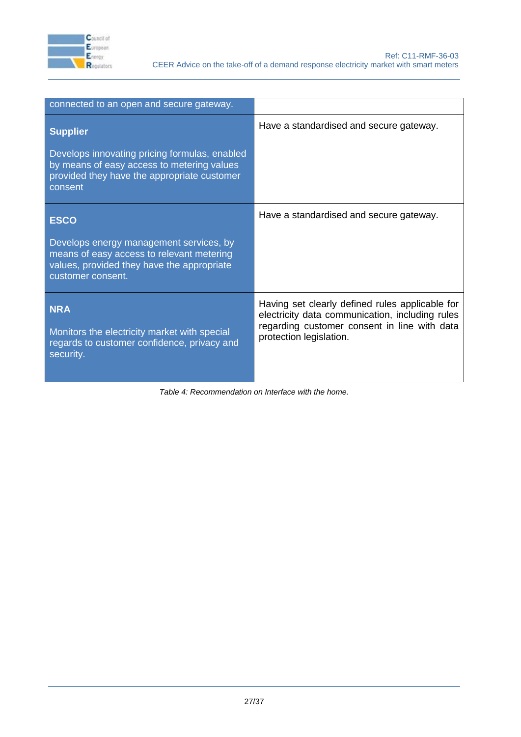

| connected to an open and secure gateway.                                                                                                                |                                                                                                    |  |
|---------------------------------------------------------------------------------------------------------------------------------------------------------|----------------------------------------------------------------------------------------------------|--|
| <b>Supplier</b>                                                                                                                                         | Have a standardised and secure gateway.                                                            |  |
| Develops innovating pricing formulas, enabled<br>by means of easy access to metering values<br>provided they have the appropriate customer<br>consent   |                                                                                                    |  |
| <b>ESCO</b>                                                                                                                                             | Have a standardised and secure gateway.                                                            |  |
| Develops energy management services, by<br>means of easy access to relevant metering<br>values, provided they have the appropriate<br>customer consent. |                                                                                                    |  |
| <b>NRA</b>                                                                                                                                              | Having set clearly defined rules applicable for<br>electricity data communication, including rules |  |
| Monitors the electricity market with special<br>regards to customer confidence, privacy and<br>security.                                                | regarding customer consent in line with data<br>protection legislation.                            |  |

<span id="page-26-0"></span>*Table 4: Recommendation on Interface with the home.*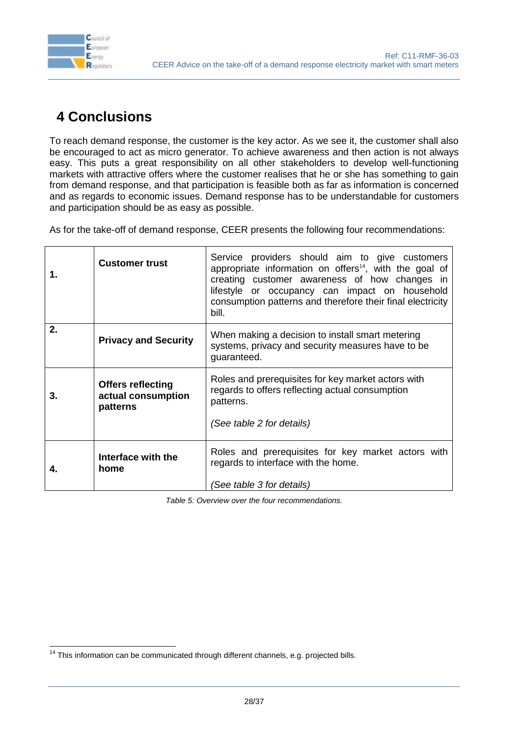

-

# <span id="page-27-0"></span>**4 Conclusions**

To reach demand response, the customer is the key actor. As we see it, the customer shall also be encouraged to act as micro generator. To achieve awareness and then action is not always easy. This puts a great responsibility on all other stakeholders to develop well-functioning markets with attractive offers where the customer realises that he or she has something to gain from demand response, and that participation is feasible both as far as information is concerned and as regards to economic issues. Demand response has to be understandable for customers and participation should be as easy as possible.

As for the take-off of demand response, CEER presents the following four recommendations:

| 1. | <b>Customer trust</b>                                      | Service providers should aim to give customers<br>appropriate information on offers <sup>14</sup> , with the goal of<br>creating customer awareness of how changes in<br>lifestyle or occupancy can impact on household<br>consumption patterns and therefore their final electricity<br>bill. |  |
|----|------------------------------------------------------------|------------------------------------------------------------------------------------------------------------------------------------------------------------------------------------------------------------------------------------------------------------------------------------------------|--|
| 2. | <b>Privacy and Security</b>                                | When making a decision to install smart metering<br>systems, privacy and security measures have to be<br>guaranteed.                                                                                                                                                                           |  |
| З. | <b>Offers reflecting</b><br>actual consumption<br>patterns | Roles and prerequisites for key market actors with<br>regards to offers reflecting actual consumption<br>patterns.<br>(See table 2 for details)                                                                                                                                                |  |
|    | Interface with the<br>home                                 | Roles and prerequisites for key market actors with<br>regards to interface with the home.<br>(See table 3 for details)                                                                                                                                                                         |  |

<span id="page-27-1"></span>*Table 5: Overview over the four recommendations.*

 $14$  This information can be communicated through different channels, e.g. projected bills.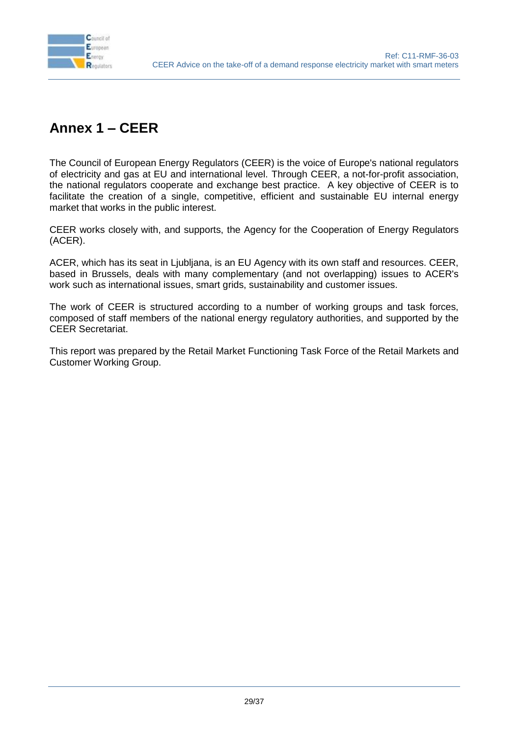

# <span id="page-28-0"></span>**Annex 1 – CEER**

The Council of European Energy Regulators (CEER) is the voice of Europe's national regulators of electricity and gas at EU and international level. Through CEER, a not-for-profit association, the national regulators cooperate and exchange best practice. A key objective of CEER is to facilitate the creation of a single, competitive, efficient and sustainable EU internal energy market that works in the public interest.

CEER works closely with, and supports, the Agency for the Cooperation of Energy Regulators (ACER).

ACER, which has its seat in Ljubljana, is an EU Agency with its own staff and resources. CEER, based in Brussels, deals with many complementary (and not overlapping) issues to ACER's work such as international issues, smart grids, sustainability and customer issues.

The work of CEER is structured according to a number of working groups and task forces, composed of staff members of the national energy regulatory authorities, and supported by the CEER Secretariat.

This report was prepared by the Retail Market Functioning Task Force of the Retail Markets and Customer Working Group.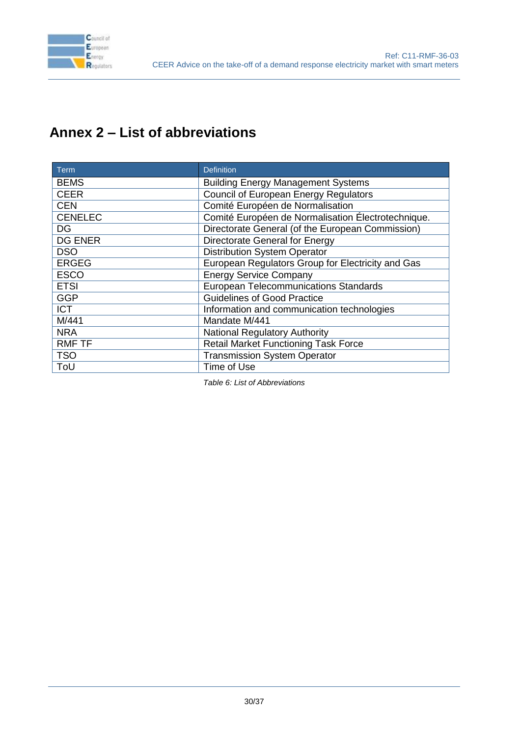

# <span id="page-29-0"></span>**Annex 2 – List of abbreviations**

| <b>Term</b>    | <b>Definition</b>                                  |
|----------------|----------------------------------------------------|
| <b>BEMS</b>    | <b>Building Energy Management Systems</b>          |
| <b>CEER</b>    | Council of European Energy Regulators              |
| <b>CEN</b>     | Comité Européen de Normalisation                   |
| <b>CENELEC</b> | Comité Européen de Normalisation Électrotechnique. |
| <b>DG</b>      | Directorate General (of the European Commission)   |
| <b>DG ENER</b> | <b>Directorate General for Energy</b>              |
| <b>DSO</b>     | <b>Distribution System Operator</b>                |
| <b>ERGEG</b>   | European Regulators Group for Electricity and Gas  |
| <b>ESCO</b>    | <b>Energy Service Company</b>                      |
| <b>ETSI</b>    | <b>European Telecommunications Standards</b>       |
| <b>GGP</b>     | <b>Guidelines of Good Practice</b>                 |
| <b>ICT</b>     | Information and communication technologies         |
| M/441          | Mandate M/441                                      |
| <b>NRA</b>     | <b>National Regulatory Authority</b>               |
| <b>RMF TF</b>  | <b>Retail Market Functioning Task Force</b>        |
| <b>TSO</b>     | <b>Transmission System Operator</b>                |
| ToU            | Time of Use                                        |

<span id="page-29-1"></span>*Table 6: List of Abbreviations*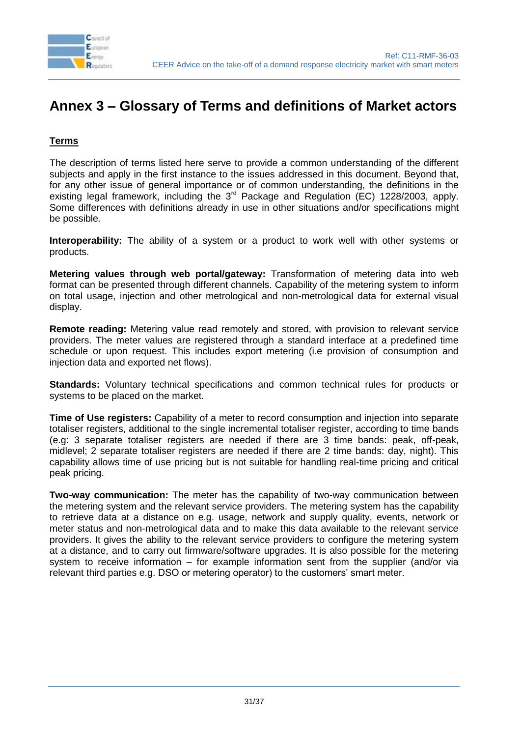

# <span id="page-30-0"></span>**Annex 3 – Glossary of Terms and definitions of Market actors**

#### **Terms**

The description of terms listed here serve to provide a common understanding of the different subjects and apply in the first instance to the issues addressed in this document. Beyond that, for any other issue of general importance or of common understanding, the definitions in the existing legal framework, including the  $3<sup>rd</sup>$  Package and Regulation (EC) 1228/2003, apply. Some differences with definitions already in use in other situations and/or specifications might be possible.

**Interoperability:** The ability of a system or a product to work well with other systems or products.

**Metering values through web portal/gateway:** Transformation of metering data into web format can be presented through different channels. Capability of the metering system to inform on total usage, injection and other metrological and non-metrological data for external visual display.

**Remote reading:** Metering value read remotely and stored, with provision to relevant service providers. The meter values are registered through a standard interface at a predefined time schedule or upon request. This includes export metering (i.e provision of consumption and injection data and exported net flows).

**Standards:** Voluntary technical specifications and common technical rules for products or systems to be placed on the market.

**Time of Use registers:** Capability of a meter to record consumption and injection into separate totaliser registers, additional to the single incremental totaliser register, according to time bands (e.g: 3 separate totaliser registers are needed if there are 3 time bands: peak, off-peak, midlevel; 2 separate totaliser registers are needed if there are 2 time bands: day, night). This capability allows time of use pricing but is not suitable for handling real-time pricing and critical peak pricing.

**Two-way communication:** The meter has the capability of two-way communication between the metering system and the relevant service providers. The metering system has the capability to retrieve data at a distance on e.g. usage, network and supply quality, events, network or meter status and non-metrological data and to make this data available to the relevant service providers. It gives the ability to the relevant service providers to configure the metering system at a distance, and to carry out firmware/software upgrades. It is also possible for the metering system to receive information – for example information sent from the supplier (and/or via relevant third parties e.g. DSO or metering operator) to the customers' smart meter.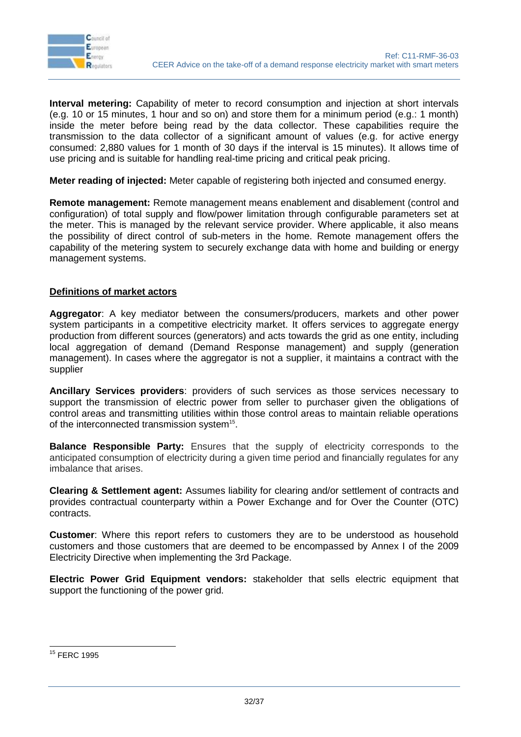

**Interval metering:** Capability of meter to record consumption and injection at short intervals (e.g. 10 or 15 minutes, 1 hour and so on) and store them for a minimum period (e.g.: 1 month) inside the meter before being read by the data collector. These capabilities require the transmission to the data collector of a significant amount of values (e.g. for active energy consumed: 2,880 values for 1 month of 30 days if the interval is 15 minutes). It allows time of use pricing and is suitable for handling real-time pricing and critical peak pricing.

**Meter reading of injected:** Meter capable of registering both injected and consumed energy.

**Remote management:** Remote management means enablement and disablement (control and configuration) of total supply and flow/power limitation through configurable parameters set at the meter. This is managed by the relevant service provider. Where applicable, it also means the possibility of direct control of sub-meters in the home. Remote management offers the capability of the metering system to securely exchange data with home and building or energy management systems.

#### **Definitions of market actors**

**Aggregator**: A key mediator between the consumers/producers, markets and other power system participants in a competitive electricity market. It offers services to aggregate energy production from different sources (generators) and acts towards the grid as one entity, including local aggregation of demand (Demand Response management) and supply (generation management). In cases where the aggregator is not a supplier, it maintains a contract with the supplier

**Ancillary Services providers**: providers of such services as those services necessary to support the transmission of electric power from seller to purchaser given the obligations of control areas and transmitting utilities within those control areas to maintain reliable operations of the interconnected transmission system<sup>15</sup>.

**Balance Responsible Party:** Ensures that the supply of electricity corresponds to the anticipated consumption of electricity during a given time period and financially regulates for any imbalance that arises.

**Clearing & Settlement agent:** Assumes liability for clearing and/or settlement of contracts and provides contractual counterparty within a Power Exchange and for Over the Counter (OTC) contracts.

**Customer**: Where this report refers to customers they are to be understood as household customers and those customers that are deemed to be encompassed by Annex I of the 2009 Electricity Directive when implementing the 3rd Package.

**Electric Power Grid Equipment vendors:** stakeholder that sells electric equipment that support the functioning of the power grid.

<sup>-</sup><sup>15</sup> FERC 1995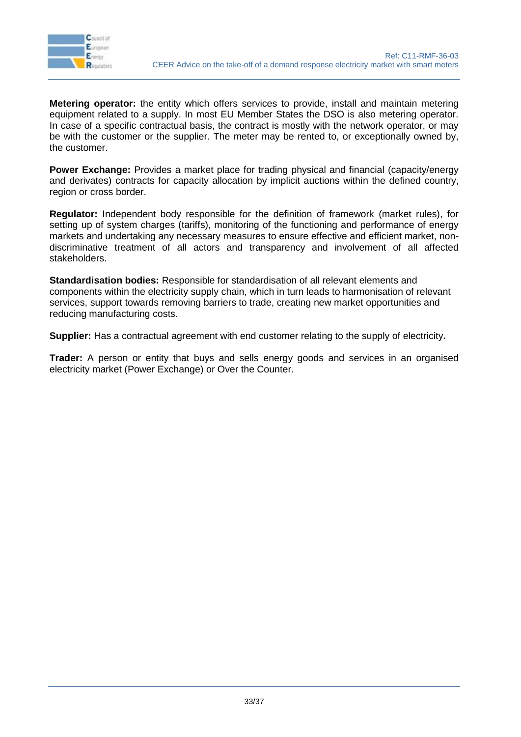

**Metering operator:** the entity which offers services to provide, install and maintain metering equipment related to a supply. In most EU Member States the DSO is also metering operator. In case of a specific contractual basis, the contract is mostly with the network operator, or may be with the customer or the supplier. The meter may be rented to, or exceptionally owned by, the customer.

**Power Exchange:** Provides a market place for trading physical and financial (capacity/energy and derivates) contracts for capacity allocation by implicit auctions within the defined country, region or cross border.

**Regulator:** Independent body responsible for the definition of framework (market rules), for setting up of system charges (tariffs), monitoring of the functioning and performance of energy markets and undertaking any necessary measures to ensure effective and efficient market, nondiscriminative treatment of all actors and transparency and involvement of all affected stakeholders.

**Standardisation bodies:** Responsible for standardisation of all relevant elements and components within the electricity supply chain, which in turn leads to harmonisation of relevant services, support towards removing barriers to trade, creating new market opportunities and reducing manufacturing costs.

**Supplier:** Has a contractual agreement with end customer relating to the supply of electricity**.** 

**Trader:** A person or entity that buys and sells energy goods and services in an organised electricity market (Power Exchange) or Over the Counter.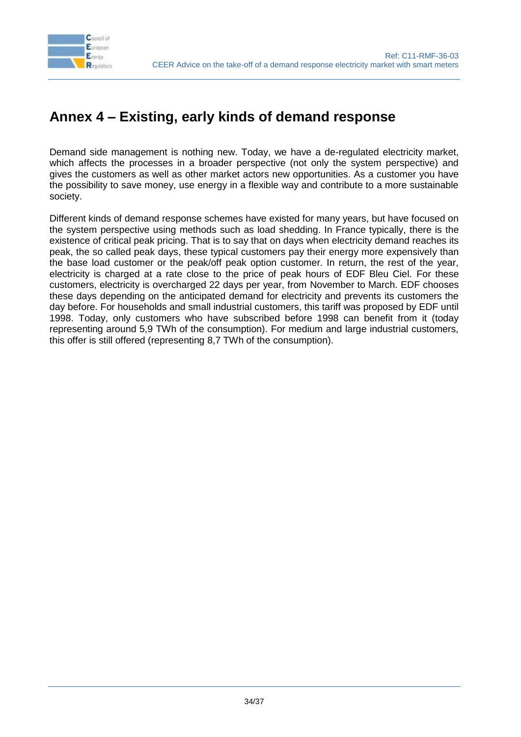

# <span id="page-33-0"></span>**Annex 4 – Existing, early kinds of demand response**

Demand side management is nothing new. Today, we have a de-regulated electricity market, which affects the processes in a broader perspective (not only the system perspective) and gives the customers as well as other market actors new opportunities. As a customer you have the possibility to save money, use energy in a flexible way and contribute to a more sustainable society.

Different kinds of demand response schemes have existed for many years, but have focused on the system perspective using methods such as load shedding. In France typically, there is the existence of critical peak pricing. That is to say that on days when electricity demand reaches its peak, the so called peak days, these typical customers pay their energy more expensively than the base load customer or the peak/off peak option customer. In return, the rest of the year, electricity is charged at a rate close to the price of peak hours of EDF Bleu Ciel. For these customers, electricity is overcharged 22 days per year, from November to March. EDF chooses these days depending on the anticipated demand for electricity and prevents its customers the day before. For households and small industrial customers, this tariff was proposed by EDF until 1998. Today, only customers who have subscribed before 1998 can benefit from it (today representing around 5,9 TWh of the consumption). For medium and large industrial customers, this offer is still offered (representing 8,7 TWh of the consumption).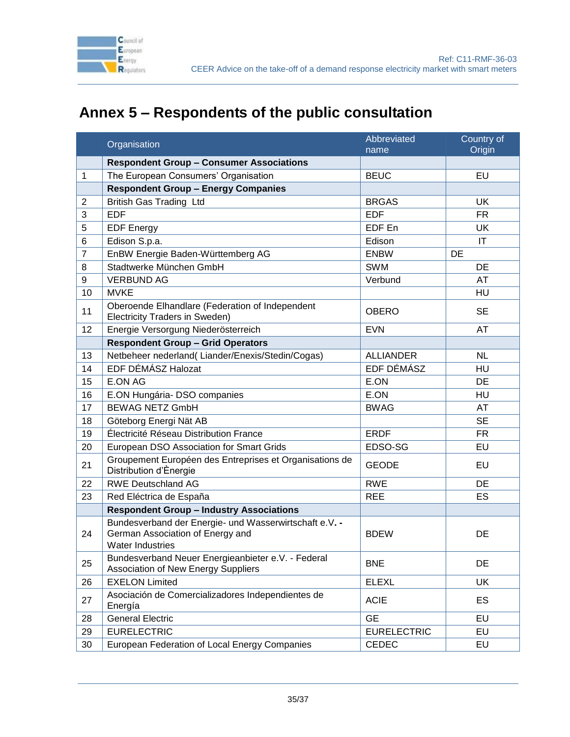

# **Annex 5 – Respondents of the public consultation**

<span id="page-34-0"></span>

|                | Organisation                                                                                                          | Abbreviated        | Country of             |
|----------------|-----------------------------------------------------------------------------------------------------------------------|--------------------|------------------------|
|                |                                                                                                                       | name               | Origin                 |
|                | <b>Respondent Group - Consumer Associations</b>                                                                       |                    |                        |
| 1              | The European Consumers' Organisation                                                                                  | <b>BEUC</b>        | EU                     |
|                | <b>Respondent Group - Energy Companies</b>                                                                            |                    |                        |
| $\overline{2}$ | <b>British Gas Trading Ltd</b>                                                                                        | <b>BRGAS</b>       | <b>UK</b>              |
| 3              | <b>EDF</b>                                                                                                            | <b>EDF</b>         | <b>FR</b>              |
| 5              | <b>EDF Energy</b>                                                                                                     | EDF En             | UK                     |
| 6              | Edison S.p.a.                                                                                                         | Edison             | $\mathsf{I}\mathsf{T}$ |
| $\overline{7}$ | EnBW Energie Baden-Württemberg AG                                                                                     | <b>ENBW</b>        | DE                     |
| 8              | Stadtwerke München GmbH                                                                                               | <b>SWM</b>         | DE                     |
| 9              | <b>VERBUND AG</b>                                                                                                     | Verbund            | AT                     |
| 10             | <b>MVKE</b>                                                                                                           |                    | HU                     |
| 11             | Oberoende Elhandlare (Federation of Independent<br>Electricity Traders in Sweden)                                     | <b>OBERO</b>       | <b>SE</b>              |
| 12             | Energie Versorgung Niederösterreich                                                                                   | <b>EVN</b>         | AT                     |
|                | <b>Respondent Group - Grid Operators</b>                                                                              |                    |                        |
| 13             | Netbeheer nederland(Liander/Enexis/Stedin/Cogas)                                                                      | <b>ALLIANDER</b>   | <b>NL</b>              |
| 14             | EDF DÉMÁSZ Halozat                                                                                                    | EDF DÉMÁSZ         | HU                     |
| 15             | <b>E.ON AG</b>                                                                                                        | E.ON               | DE                     |
| 16             | E.ON Hungária- DSO companies                                                                                          | E.ON               | HU                     |
| 17             | <b>BEWAG NETZ GmbH</b>                                                                                                | <b>BWAG</b>        | AT                     |
| 18             | Göteborg Energi Nät AB                                                                                                |                    | <b>SE</b>              |
| 19             | Électricité Réseau Distribution France                                                                                | <b>ERDF</b>        | <b>FR</b>              |
| 20             | European DSO Association for Smart Grids                                                                              | EDSO-SG            | EU                     |
| 21             | Groupement Européen des Entreprises et Organisations de<br>Distribution d'Ènergie                                     | <b>GEODE</b>       | EU                     |
| 22             | <b>RWE Deutschland AG</b>                                                                                             | <b>RWE</b>         | <b>DE</b>              |
| 23             | Red Eléctrica de España                                                                                               | <b>REE</b>         | ES                     |
|                | <b>Respondent Group - Industry Associations</b>                                                                       |                    |                        |
| 24             | Bundesverband der Energie- und Wasserwirtschaft e.V. -<br>German Association of Energy and<br><b>Water Industries</b> | <b>BDEW</b>        | DE                     |
| 25             | Bundesverband Neuer Energieanbieter e.V. - Federal<br>Association of New Energy Suppliers                             | <b>BNE</b>         | DE                     |
| 26             | <b>EXELON Limited</b>                                                                                                 | <b>ELEXL</b>       | UK                     |
| 27             | Asociación de Comercializadores Independientes de<br>Energía                                                          | <b>ACIE</b>        | ES                     |
| 28             | <b>General Electric</b>                                                                                               | <b>GE</b>          | EU                     |
| 29             | <b>EURELECTRIC</b>                                                                                                    | <b>EURELECTRIC</b> | EU                     |
| 30             | European Federation of Local Energy Companies                                                                         | CEDEC              | EU                     |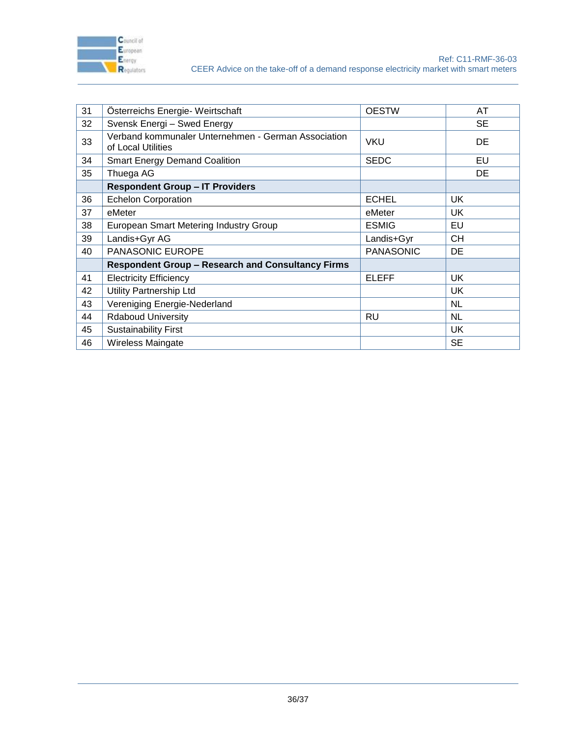

| 31 | Österreichs Energie- Weirtschaft                                          | <b>OESTW</b>     | AT        |
|----|---------------------------------------------------------------------------|------------------|-----------|
| 32 | Svensk Energi - Swed Energy                                               |                  | <b>SE</b> |
| 33 | Verband kommunaler Unternehmen - German Association<br>of Local Utilities | <b>VKU</b>       | DE        |
| 34 | <b>Smart Energy Demand Coalition</b>                                      | <b>SEDC</b>      | EU        |
| 35 | Thuega AG                                                                 |                  | DE        |
|    | <b>Respondent Group - IT Providers</b>                                    |                  |           |
| 36 | <b>Echelon Corporation</b>                                                | <b>ECHEL</b>     | UK        |
| 37 | eMeter                                                                    | eMeter           | UK        |
| 38 | European Smart Metering Industry Group                                    | <b>ESMIG</b>     | EU        |
| 39 | Landis+Gyr AG                                                             | Landis+Gyr       | CН        |
| 40 | PANASONIC EUROPE                                                          | <b>PANASONIC</b> | DE        |
|    | <b>Respondent Group - Research and Consultancy Firms</b>                  |                  |           |
| 41 | <b>Electricity Efficiency</b>                                             | <b>ELEFF</b>     | <b>UK</b> |
| 42 | Utility Partnership Ltd                                                   |                  | UK        |
| 43 | Vereniging Energie-Nederland                                              |                  | <b>NL</b> |
| 44 | <b>Rdaboud University</b>                                                 | RU               | <b>NL</b> |
| 45 | <b>Sustainability First</b>                                               |                  | UK        |
| 46 | <b>Wireless Maingate</b>                                                  |                  | <b>SE</b> |